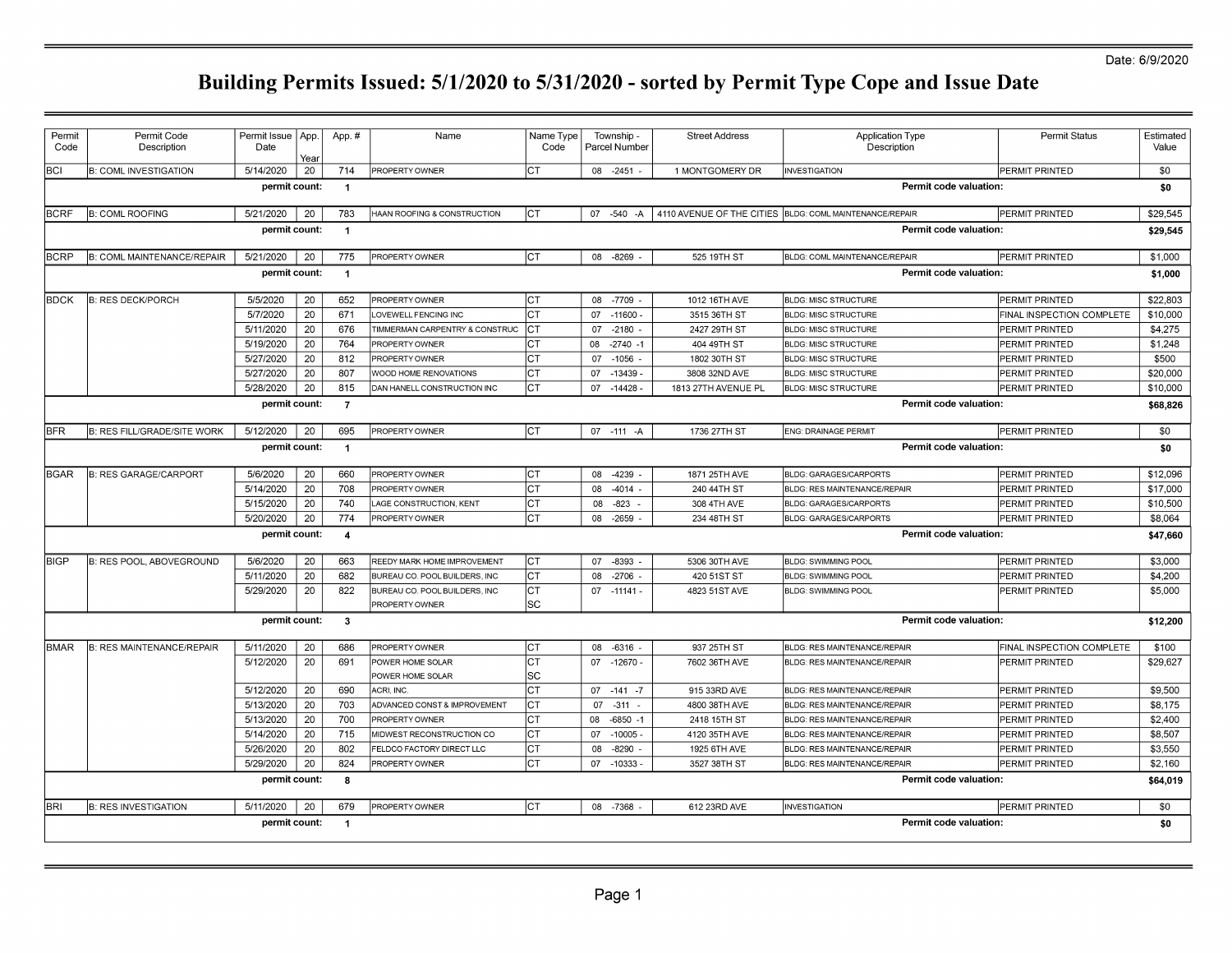| Permit      | Permit Code                       | Permit Issue   App. |      | App.#          | Name                           | Name Type | Township -       | <b>Street Address</b>     | <b>Application Type</b>              | <b>Permit Status</b>      | Estimated |  |  |
|-------------|-----------------------------------|---------------------|------|----------------|--------------------------------|-----------|------------------|---------------------------|--------------------------------------|---------------------------|-----------|--|--|
| Code        | Description                       | Date                | Year |                |                                | Code      | Parcel Number    |                           | Description                          |                           | Value     |  |  |
| lbcı        | <b>B: COML INVESTIGATION</b>      | 5/14/2020           | 20   | 714            | PROPERTY OWNER                 | IСТ       | 08 -2451         | 1 MONTGOMERY DR           | <b>INVESTIGATION</b>                 | <b>PERMIT PRINTED</b>     | \$0       |  |  |
|             |                                   | permit count:       |      | $\overline{1}$ |                                |           |                  |                           |                                      | Permit code valuation:    | \$0       |  |  |
| <b>BCRF</b> | <b>B: COML ROOFING</b>            | 5/21/2020           | 20   | 783            | HAAN ROOFING & CONSTRUCTION    | Iст       | $-540 - A$<br>07 | 4110 AVENUE OF THE CITIES | <b>BLDG: COML MAINTENANCE/REPAIR</b> | PERMIT PRINTED            | \$29,545  |  |  |
|             |                                   | permit count:       |      | $\overline{1}$ |                                |           |                  |                           | Permit code valuation:               |                           |           |  |  |
| <b>BCRP</b> | <b>B: COML MAINTENANCE/REPAIR</b> | 5/21/2020           | 20   | 775            | PROPERTY OWNER                 | Iст       | 08 -8269         | 525 19TH ST               | BLDG: COML MAINTENANCE/REPAIR        | <b>PERMIT PRINTED</b>     | \$1,000   |  |  |
|             |                                   | permit count:       |      | $\overline{1}$ |                                |           |                  |                           |                                      | Permit code valuation:    | \$1,000   |  |  |
| <b>BDCK</b> | <b>B: RES DECK/PORCH</b>          | 5/5/2020            | 20   | 652            | PROPERTY OWNER                 | Iст       | 08 -7709         | 1012 16TH AVE             | <b>BLDG: MISC STRUCTURE</b>          | <b>PERMIT PRINTED</b>     | \$22,803  |  |  |
|             |                                   | 5/7/2020            | 20   | 671            | LOVEWELL FENCING INC           | IСТ       | 07 -11600        | 3515 36TH ST              | <b>BLDG: MISC STRUCTURE</b>          | FINAL INSPECTION COMPLETE | \$10,000  |  |  |
|             |                                   | 5/11/2020           | 20   | 676            | TIMMERMAN CARPENTRY & CONSTRUC | IСТ       | $-2180$<br>07    | 2427 29TH ST              | <b>BLDG: MISC STRUCTURE</b>          | PERMIT PRINTED            | \$4,275   |  |  |
|             |                                   | 5/19/2020           | 20   | 764            | PROPERTY OWNER                 | IСТ       | 08<br>$-2740 -1$ | 404 49TH ST               | <b>BLDG: MISC STRUCTURE</b>          | <b>PERMIT PRINTED</b>     | \$1,248   |  |  |
|             |                                   | 5/27/2020           | 20   | 812            | PROPERTY OWNER                 | IСТ       | 07<br>$-1056$    | 1802 30TH ST              | <b>BLDG: MISC STRUCTURE</b>          | <b>PERMIT PRINTED</b>     | \$500     |  |  |
|             |                                   | 5/27/2020           | 20   | 807            | WOOD HOME RENOVATIONS          | IСТ       | -13439<br>07     | 3808 32ND AVE             | <b>BLDG: MISC STRUCTURE</b>          | <b>PERMIT PRINTED</b>     | \$20,000  |  |  |
|             |                                   | 5/28/2020           | 20   | 815            | DAN HANELL CONSTRUCTION INC    | IСТ       | 07<br>$-14428$   | 1813 27TH AVENUE PL       | <b>BLDG: MISC STRUCTURE</b>          | PERMIT PRINTED            | \$10,000  |  |  |
|             |                                   | permit count:       |      | $\overline{7}$ |                                |           |                  |                           |                                      | Permit code valuation:    | \$68,826  |  |  |
| <b>BFR</b>  | B: RES FILL/GRADE/SITE WORK       | 5/12/2020           | 20   | 695            | PROPERTY OWNER                 | Iст       | 07 -111 -A       | 1736 27TH ST              | <b>ENG: DRAINAGE PERMIT</b>          | PERMIT PRINTED            | \$0       |  |  |
|             |                                   | permit count:       |      | $\overline{1}$ |                                |           |                  |                           |                                      | Permit code valuation:    | \$0       |  |  |
| BGAR        | <b>B: RES GARAGE/CARPORT</b>      | 5/6/2020            | 20   | 660            | PROPERTY OWNER                 | IСТ       | 08 -4239         | 1871 25TH AVE             | <b>BLDG: GARAGES/CARPORTS</b>        | <b>PERMIT PRINTED</b>     | \$12,096  |  |  |
|             |                                   | 5/14/2020           | 20   | 708            | PROPERTY OWNER                 | IСТ       | -4014<br>08      | 240 44TH ST               | BLDG: RES MAINTENANCE/REPAIR         | <b>PERMIT PRINTED</b>     | \$17,000  |  |  |
|             |                                   | 5/15/2020           | 20   | 740            | LAGE CONSTRUCTION, KENT        | IСТ       | 08<br>$-823$     | 308 4TH AVE               | <b>BLDG: GARAGES/CARPORTS</b>        | <b>PERMIT PRINTED</b>     | \$10,500  |  |  |
|             |                                   | 5/20/2020           | 20   | 774            | PROPERTY OWNER                 | СT        | 08<br>$-2659$    | 234 48TH ST               | <b>BLDG: GARAGES/CARPORTS</b>        | PERMIT PRINTED            | \$8,064   |  |  |
|             |                                   | permit count:       |      | $\overline{4}$ |                                |           |                  |                           |                                      | Permit code valuation:    | \$47,660  |  |  |
| <b>BIGP</b> | <b>B: RES POOL, ABOVEGROUND</b>   | 5/6/2020            | 20   | 663            | REEDY MARK HOME IMPROVEMENT    | IСТ       | 07 -8393         | 5306 30TH AVE             | BLDG: SWIMMING POOL                  | <b>PERMIT PRINTED</b>     | \$3,000   |  |  |
|             |                                   | 5/11/2020           | 20   | 682            | BUREAU CO. POOL BUILDERS, INC  | IСТ       | $-2706$<br>08    | 420 51ST ST               | BLDG: SWIMMING POOL                  | PERMIT PRINTED            | \$4,200   |  |  |
|             |                                   | 5/29/2020           | 20   | 822            | BUREAU CO. POOL BUILDERS. INC  | IСТ       | $07 - 11141 -$   | 4823 51ST AVE             | BLDG: SWIMMING POOL                  | <b>PERMIT PRINTED</b>     | \$5,000   |  |  |
|             |                                   | permit count:       |      | $\mathbf{3}$   | PROPERTY OWNER                 | SC        |                  |                           |                                      | Permit code valuation:    | \$12,200  |  |  |
|             |                                   |                     |      |                |                                |           |                  |                           |                                      |                           |           |  |  |
| BMAR        | B: RES MAINTENANCE/REPAIR         | 5/11/2020           | 20   | 686            | PROPERTY OWNER                 | IСТ       | $-6316$<br>08    | 937 25TH ST               | <b>BLDG: RES MAINTENANCE/REPAIR</b>  | FINAL INSPECTION COMPLETE | \$100     |  |  |
|             |                                   | 5/12/2020           | 20   | 691            | POWER HOME SOLAR               | <b>CT</b> | 07<br>-12670 -   | 7602 36TH AVE             | <b>BLDG: RES MAINTENANCE/REPAIR</b>  | <b>PERMIT PRINTED</b>     | \$29,627  |  |  |
|             |                                   |                     |      |                | POWER HOME SOLAR               | lsc       |                  |                           |                                      |                           |           |  |  |
|             |                                   | 5/12/2020           | 20   | 690            | ACRI, INC.                     | lст       | $07 -141 -7$     | 915 33RD AVE              | BLDG: RES MAINTENANCE/REPAIR         | <b>PERMIT PRINTED</b>     | \$9,500   |  |  |
|             |                                   | 5/13/2020           | 20   | 703            | ADVANCED CONST & IMPROVEMENT   | Iст       | 07<br>$-311$     | 4800 38TH AVE             | BLDG: RES MAINTENANCE/REPAIR         | <b>PERMIT PRINTED</b>     | \$8,175   |  |  |
|             |                                   | 5/13/2020           | 20   | 700            | PROPERTY OWNER                 | <b>CT</b> | $-6850 -1$<br>08 | 2418 15TH ST              | <b>BLDG: RES MAINTENANCE/REPAIR</b>  | <b>PERMIT PRINTED</b>     | \$2,400   |  |  |
|             |                                   | 5/14/2020           | 20   | 715            | MIDWEST RECONSTRUCTION CO      | Iст       | 07<br>$-10005$   | 4120 35TH AVE             | <b>BLDG: RES MAINTENANCE/REPAIR</b>  | PERMIT PRINTED            | \$8,507   |  |  |
|             |                                   | 5/26/2020           | 20   | 802            | FELDCO FACTORY DIRECT LLC      | Iст       | 08<br>$-8290$    | 1925 6TH AVE              | <b>BLDG: RES MAINTENANCE/REPAIR</b>  | PERMIT PRINTED            | \$3,550   |  |  |
|             |                                   | 5/29/2020           | 20   | 824            | PROPERTY OWNER                 | Iст       | 07<br>$-10333$   | 3527 38TH ST              | <b>BLDG: RES MAINTENANCE/REPAIR</b>  | PERMIT PRINTED            | \$2,160   |  |  |
|             |                                   | permit count:       |      | -8             |                                |           |                  |                           |                                      | Permit code valuation:    | \$64,019  |  |  |
| <b>BRI</b>  | <b>B: RES INVESTIGATION</b>       | 5/11/2020           | 20   | 679            | PROPERTY OWNER                 | Iст       | 08 -7368         | 612 23RD AVE              | <b>INVESTIGATION</b>                 | PERMIT PRINTED            | \$0       |  |  |
|             |                                   | permit count:       |      | $\overline{1}$ |                                |           |                  |                           |                                      | Permit code valuation:    | \$0       |  |  |
|             |                                   |                     |      |                |                                |           |                  |                           |                                      |                           |           |  |  |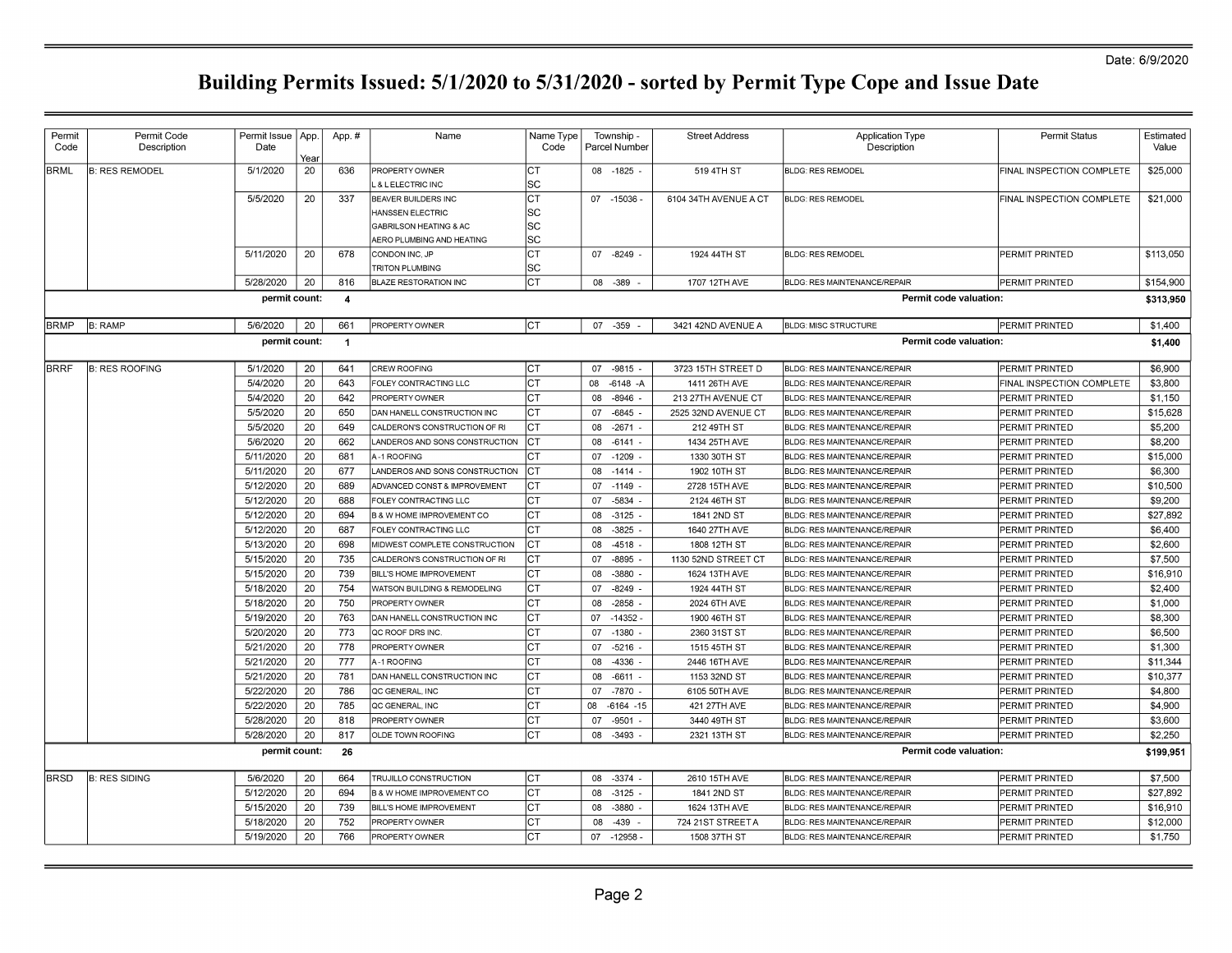| Permit<br>Code | Permit Code<br>Description | Permit Issue   App<br>Date |      | App.#          | Name                                                   | Name Type<br>Code |    | Township -<br>Parcel Number | <b>Street Address</b> | <b>Application Type</b><br>Description | <b>Permit Status</b>      | Estimated<br>Value |
|----------------|----------------------------|----------------------------|------|----------------|--------------------------------------------------------|-------------------|----|-----------------------------|-----------------------|----------------------------------------|---------------------------|--------------------|
|                |                            |                            | Yeaı |                |                                                        |                   |    |                             |                       |                                        |                           |                    |
| <b>BRML</b>    | <b>B: RES REMODEL</b>      | 5/1/2020                   | 20   | 636            | PROPERTY OWNER                                         | CT                |    | 08 -1825 -                  | 519 4TH ST            | <b>BLDG: RES REMODEL</b>               | FINAL INSPECTION COMPLETE | \$25,000           |
|                |                            |                            |      |                | L & LELECTRIC INC                                      | SC                |    |                             |                       |                                        |                           |                    |
|                |                            | 5/5/2020                   | 20   | 337            | <b>BEAVER BUILDERS INC</b>                             | СT                |    | 07 -15036                   | 6104 34TH AVENUE A CT | <b>BLDG: RES REMODEL</b>               | FINAL INSPECTION COMPLETE | \$21,000           |
|                |                            |                            |      |                | HANSSEN ELECTRIC                                       | SC                |    |                             |                       |                                        |                           |                    |
|                |                            |                            |      |                | GABRILSON HEATING & AC                                 | SC                |    |                             |                       |                                        |                           |                    |
|                |                            |                            |      |                | AERO PLUMBING AND HEATING                              | SC                |    |                             |                       |                                        |                           |                    |
|                |                            | 5/11/2020                  | 20   | 678            | CONDON INC, JP                                         | <b>CT</b><br>SC   |    | 07 -8249                    | 1924 44TH ST          | <b>BLDG: RES REMODEL</b>               | PERMIT PRINTED            | \$113,050          |
|                |                            | 5/28/2020                  | 20   | 816            | <b>TRITON PLUMBING</b><br><b>BLAZE RESTORATION INC</b> | СT                | 08 | -389                        | 1707 12TH AVE         | <b>BLDG: RES MAINTENANCE/REPAIR</b>    | PERMIT PRINTED            | \$154,900          |
|                |                            |                            |      |                |                                                        |                   |    |                             |                       |                                        |                           |                    |
|                |                            | permit count:              |      | $\overline{4}$ |                                                        |                   |    |                             |                       | Permit code valuation:                 |                           | \$313,950          |
| BRMP           | <b>B: RAMP</b>             | 5/6/2020                   | 20   | 661            | <b>PROPERTY OWNER</b>                                  | CT                |    | 07 - 359                    | 3421 42ND AVENUE A    | <b>BLDG: MISC STRUCTURE</b>            | PERMIT PRINTED            | \$1,400            |
|                |                            | permit count:              |      | $\overline{1}$ |                                                        |                   |    |                             |                       | Permit code valuation:                 |                           | \$1,400            |
|                |                            |                            |      |                |                                                        |                   |    |                             |                       |                                        |                           |                    |
| BRRF           | <b>B: RES ROOFING</b>      | 5/1/2020                   | 20   | 641            | CREW ROOFING                                           | СT                |    | 07 -9815 -                  | 3723 15TH STREET D    | <b>BLDG: RES MAINTENANCE/REPAIR</b>    | PERMIT PRINTED            | \$6,900            |
|                |                            | 5/4/2020                   | 20   | 643            | FOLEY CONTRACTING LLC                                  | IСТ               | 08 | $-6148 - A$                 | 1411 26TH AVE         | <b>BLDG: RES MAINTENANCE/REPAIR</b>    | FINAL INSPECTION COMPLETE | \$3,800            |
|                |                            | 5/4/2020                   | 20   | 642            | <b>PROPERTY OWNER</b>                                  | СT                | 08 | $-8946$                     | 213 27TH AVENUE CT    | <b>BLDG: RES MAINTENANCE/REPAIR</b>    | <b>PERMIT PRINTED</b>     | \$1.150            |
|                |                            | 5/5/2020                   | 20   | 650            | DAN HANELL CONSTRUCTION INC                            | СT                | 07 | $-6845$                     | 2525 32ND AVENUE CT   | <b>BLDG: RES MAINTENANCE/REPAIR</b>    | PERMIT PRINTED            | \$15,628           |
|                |                            | 5/5/2020                   | 20   | 649            | CALDERON'S CONSTRUCTION OF RI                          | CT                | 08 | $-2671$                     | 212 49TH ST           | <b>BLDG: RES MAINTENANCE/REPAIR</b>    | PERMIT PRINTED            | \$5,200            |
|                |                            | 5/6/2020                   | 20   | 662            | LANDEROS AND SONS CONSTRUCTION                         | IСТ               | 08 | $-6141 -$                   | 1434 25TH AVE         | <b>BLDG: RES MAINTENANCE/REPAIR</b>    | PERMIT PRINTED            | \$8,200            |
|                |                            | 5/11/2020                  | 20   | 681            | A-1 ROOFING                                            | CТ                | 07 | $-1209$                     | 1330 30TH ST          | BLDG: RES MAINTENANCE/REPAIR           | PERMIT PRINTED            | \$15,000           |
|                |                            | 5/11/2020                  | 20   | 677            | LANDEROS AND SONS CONSTRUCTION                         | IСТ               | 08 | $-1414$                     | 1902 10TH ST          | <b>BLDG: RES MAINTENANCE/REPAIR</b>    | PERMIT PRINTED            | \$6,300            |
|                |                            | 5/12/2020                  | 20   | 689            | ADVANCED CONST & IMPROVEMENT                           | СT                |    | 07 - 1149 -                 | 2728 15TH AVE         | <b>BLDG: RES MAINTENANCE/REPAIR</b>    | PERMIT PRINTED            | \$10,500           |
|                |                            | 5/12/2020                  | 20   | 688            | FOLEY CONTRACTING LLC                                  | СT                | 07 | $-5834$                     | 2124 46TH ST          | <b>BLDG: RES MAINTENANCE/REPAIR</b>    | PERMIT PRINTED            | \$9,200            |
|                |                            | 5/12/2020                  | 20   | 694            | <b>B &amp; W HOME IMPROVEMENT CO</b>                   | IСТ               | 08 | $-3125$ -                   | 1841 2ND ST           | <b>BLDG: RES MAINTENANCE/REPAIR</b>    | PERMIT PRINTED            | \$27,892           |
|                |                            | 5/12/2020                  | 20   | 687            | FOLEY CONTRACTING LLC                                  | СT                | 08 | $-3825$                     | 1640 27TH AVE         | <b>BLDG: RES MAINTENANCE/REPAIR</b>    | PERMIT PRINTED            | \$6,400            |
|                |                            | 5/13/2020                  | 20   | 698            | MIDWEST COMPLETE CONSTRUCTION                          | СT                | 08 | $-4518$                     | 1808 12TH ST          | <b>BLDG: RES MAINTENANCE/REPAIR</b>    | PERMIT PRINTED            | \$2,600            |
|                |                            | 5/15/2020                  | 20   | 735            | CALDERON'S CONSTRUCTION OF RI                          | СT                | 07 | $-8895$ -                   | 1130 52ND STREET CT   | <b>BLDG: RES MAINTENANCE/REPAIR</b>    | PERMIT PRINTED            | \$7,500            |
|                |                            | 5/15/2020                  | 20   | 739            | <b>BILL'S HOME IMPROVEMENT</b>                         | СT                | 08 | $-3880 -$                   | 1624 13TH AVE         | BLDG: RES MAINTENANCE/REPAIR           | PERMIT PRINTED            | \$16,910           |
|                |                            | 5/18/2020                  | 20   | 754            | WATSON BUILDING & REMODELING                           | СT                | 07 | $-8249$ -                   | 1924 44TH ST          | <b>BLDG: RES MAINTENANCE/REPAIR</b>    | PERMIT PRINTED            | \$2,400            |
|                |                            | 5/18/2020                  | 20   | 750            | <b>PROPERTY OWNER</b>                                  | IСТ               | 08 | $-2858$                     | 2024 6TH AVE          | <b>BLDG: RES MAINTENANCE/REPAIR</b>    | PERMIT PRINTED            | \$1,000            |
|                |                            | 5/19/2020                  | 20   | 763            | DAN HANELL CONSTRUCTION INC                            | СT                | 07 | $-14352$                    | 1900 46TH ST          | <b>BLDG: RES MAINTENANCE/REPAIR</b>    | PERMIT PRINTED            | \$8,300            |
|                |                            | 5/20/2020                  | 20   | 773            | QC ROOF DRS INC.                                       | IСТ               | 07 | $-1380$ -                   | 2360 31ST ST          | <b>BLDG: RES MAINTENANCE/REPAIR</b>    | PERMIT PRINTED            | \$6,500            |
|                |                            | 5/21/2020                  | 20   | 778            | <b>PROPERTY OWNER</b>                                  | СT                | 07 | $-5216 -$                   | 1515 45TH ST          | <b>BLDG: RES MAINTENANCE/REPAIR</b>    | PERMIT PRINTED            | \$1,300            |
|                |                            | 5/21/2020                  | 20   | 777            | A-1 ROOFING                                            | IСТ               | 08 | -4336                       | 2446 16TH AVE         | <b>BLDG: RES MAINTENANCE/REPAIR</b>    | PERMIT PRINTED            | \$11,344           |
|                |                            | 5/21/2020                  | 20   | 781            | DAN HANELL CONSTRUCTION INC                            | СT                | 08 | $-6611 -$                   | 1153 32ND ST          | <b>BLDG: RES MAINTENANCE/REPAIR</b>    | PERMIT PRINTED            | \$10,377           |
|                |                            | 5/22/2020                  | 20   | 786            | QC GENERAL, INC                                        | IСТ               | 07 | $-7870$                     | 6105 50TH AVE         | <b>BLDG: RES MAINTENANCE/REPAIR</b>    | PERMIT PRINTED            | \$4,800            |
|                |                            | 5/22/2020                  | 20   | 785            | QC GENERAL, INC                                        | СT                | 08 | $-6164 - 15$                | 421 27TH AVE          | <b>BLDG: RES MAINTENANCE/REPAIR</b>    | PERMIT PRINTED            | \$4,900            |
|                |                            | 5/28/2020                  | 20   | 818            | <b>PROPERTY OWNER</b>                                  | IСТ               | 07 | $-9501$                     | 3440 49TH ST          | <b>BLDG: RES MAINTENANCE/REPAIR</b>    | PERMIT PRINTED            | \$3,600            |
|                |                            | 5/28/2020                  | 20   | 817            | OLDE TOWN ROOFING                                      | СT                | 08 | $-3493 -$                   | 2321 13TH ST          | <b>BLDG: RES MAINTENANCE/REPAIR</b>    | PERMIT PRINTED            | \$2,250            |
|                |                            | permit count:              |      | 26             |                                                        |                   |    |                             |                       | Permit code valuation:                 |                           | \$199,951          |
|                |                            |                            |      |                |                                                        |                   |    |                             |                       |                                        |                           |                    |
| <b>BRSD</b>    | <b>B: RES SIDING</b>       | 5/6/2020                   | 20   | 664            | TRUJILLO CONSTRUCTION                                  | <b>CT</b>         | 08 | $-3374 -$                   | 2610 15TH AVE         | <b>BLDG: RES MAINTENANCE/REPAIR</b>    | PERMIT PRINTED            | \$7,500            |
|                |                            | 5/12/2020                  | 20   | 694            | B & W HOME IMPROVEMENT CO                              | <b>CT</b>         | 08 | $-3125$                     | 1841 2ND ST           | <b>BLDG: RES MAINTENANCE/REPAIR</b>    | PERMIT PRINTED            | \$27,892           |
|                |                            | 5/15/2020                  | 20   | 739            | BILL'S HOME IMPROVEMENT                                | СT                | 08 | $-3880$                     | 1624 13TH AVE         | <b>BLDG: RES MAINTENANCE/REPAIR</b>    | PERMIT PRINTED            | \$16,910           |
|                |                            | 5/18/2020                  | 20   | 752            | PROPERTY OWNER                                         | CТ                | 08 | $-439$                      | 724 21ST STREET A     | <b>BLDG: RES MAINTENANCE/REPAIR</b>    | PERMIT PRINTED            | \$12,000           |
|                |                            | 5/19/2020                  | 20   | 766            | <b>PROPERTY OWNER</b>                                  | СT                |    | 07 -12958                   | 1508 37TH ST          | <b>BLDG: RES MAINTENANCE/REPAIR</b>    | PERMIT PRINTED            | \$1,750            |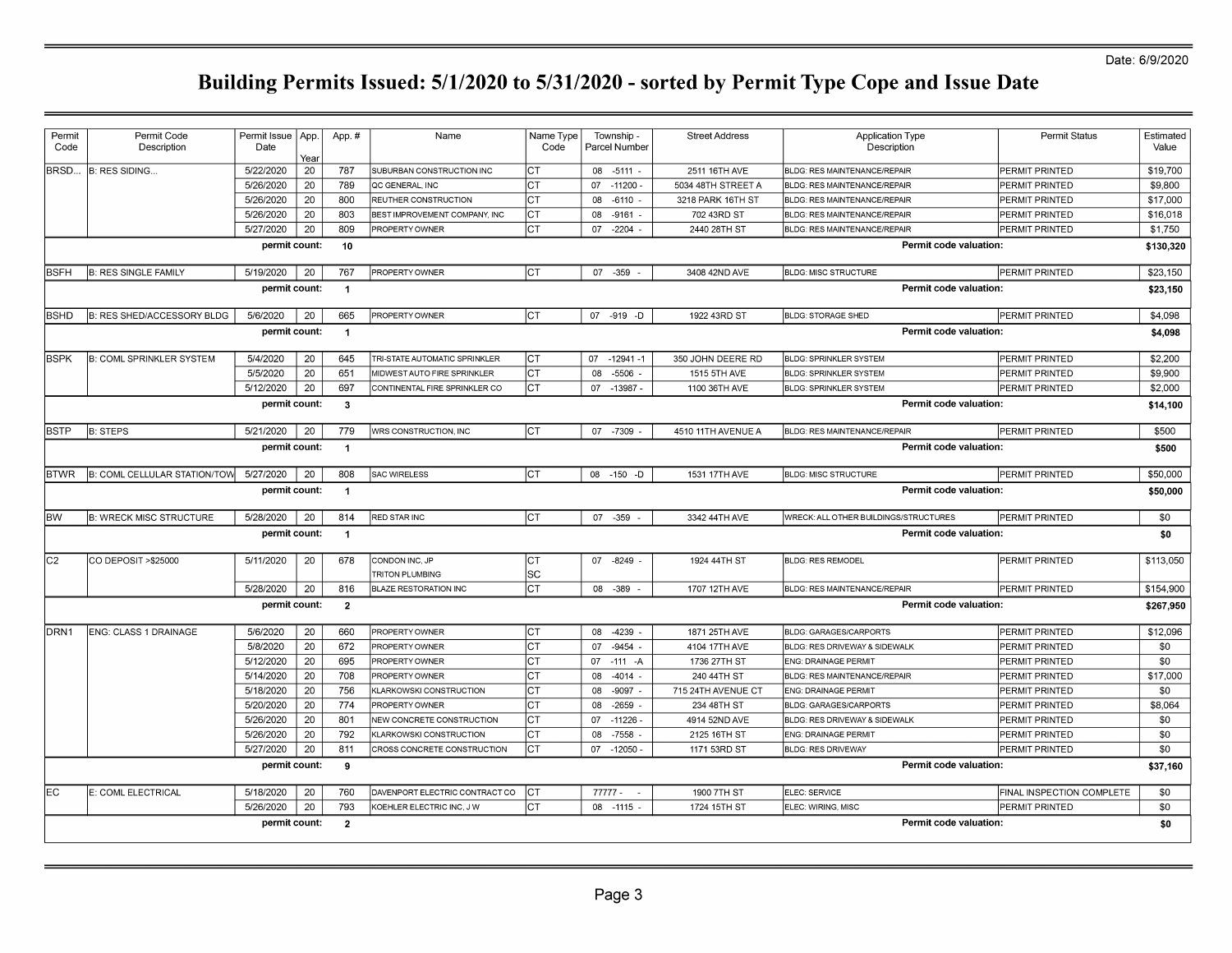| Permit<br>Code | Permit Code<br>Description        | Permit Issue   App.<br>Date | Year | App.#          | Name                                     | Name Type<br>Code | Township -<br>Parcel Number | <b>Street Address</b> | <b>Application Type</b><br>Description | <b>Permit Status</b>      | Estimated<br>Value |
|----------------|-----------------------------------|-----------------------------|------|----------------|------------------------------------------|-------------------|-----------------------------|-----------------------|----------------------------------------|---------------------------|--------------------|
| BRSD           | B: RES SIDING                     | 5/22/2020                   | 20   | 787            | SUBURBAN CONSTRUCTION INC                | IСТ               | 08 -5111 -                  | 2511 16TH AVE         | BLDG: RES MAINTENANCE/REPAIR           | <b>PERMIT PRINTED</b>     | \$19,700           |
|                |                                   | 5/26/2020                   | 20   | 789            | QC GENERAL, INC                          | СT                | 07 - 11200                  | 5034 48TH STREET A    | <b>BLDG: RES MAINTENANCE/REPAIR</b>    | PERMIT PRINTED            | \$9,800            |
|                |                                   | 5/26/2020                   | 20   | 800            | REUTHER CONSTRUCTION                     | СT                | 80<br>-6110                 | 3218 PARK 16TH ST     | <b>BLDG: RES MAINTENANCE/REPAIR</b>    | PERMIT PRINTED            | \$17,000           |
|                |                                   | 5/26/2020                   | 20   | 803            | BEST IMPROVEMENT COMPANY, INC            | СT                | 08<br>$-9161$               | 702 43RD ST           | <b>BLDG: RES MAINTENANCE/REPAIR</b>    | PERMIT PRINTED            | \$16,018           |
|                |                                   | 5/27/2020                   | 20   | 809            | PROPERTY OWNER                           | СT                | 07<br>$-2204$               | 2440 28TH ST          | <b>BLDG: RES MAINTENANCE/REPAIR</b>    | <b>PERMIT PRINTED</b>     | \$1,750            |
|                |                                   | permit count:               |      | 10             |                                          |                   |                             |                       | Permit code valuation:                 |                           | \$130,320          |
| <b>BSFH</b>    | <b>B: RES SINGLE FAMILY</b>       | 5/19/2020                   | 20   | 767            | <b>PROPERTY OWNER</b>                    | Iст               | 07 - 359                    | 3408 42ND AVE         | <b>BLDG: MISC STRUCTURE</b>            | <b>PERMIT PRINTED</b>     | \$23,150           |
|                |                                   | permit count:               |      | $\overline{1}$ |                                          |                   |                             |                       | Permit code valuation:                 |                           | \$23,150           |
| <b>BSHD</b>    | <b>B: RES SHED/ACCESSORY BLDG</b> | 5/6/2020                    | 20   | 665            | PROPERTY OWNER                           | Iст               | 07 -919 -D                  | 1922 43RD ST          | <b>BLDG: STORAGE SHED</b>              | <b>PERMIT PRINTED</b>     | \$4,098            |
|                |                                   | permit count:               |      | $\overline{1}$ |                                          |                   |                             |                       | Permit code valuation:                 |                           | \$4,098            |
| <b>BSPK</b>    | <b>B: COML SPRINKLER SYSTEM</b>   | 5/4/2020                    | 20   | 645            | TRI-STATE AUTOMATIC SPRINKLER            | CT                | 07<br>$-12941 - 1$          | 350 JOHN DEERE RD     | <b>BLDG: SPRINKLER SYSTEM</b>          | <b>PERMIT PRINTED</b>     | \$2,200            |
|                |                                   | 5/5/2020                    | 20   | 651            | MIDWEST AUTO FIRE SPRINKLER              | СT                | 08<br>-5506                 | 1515 5TH AVE          | <b>BLDG: SPRINKLER SYSTEM</b>          | PERMIT PRINTED            | \$9,900            |
|                |                                   | 5/12/2020                   | 20   | 697            | CONTINENTAL FIRE SPRINKLER CO            | IСТ               | 07 -13987 -                 | 1100 36TH AVE         | <b>BLDG: SPRINKLER SYSTEM</b>          | PERMIT PRINTED            | \$2,000            |
|                |                                   | permit count:               |      | $\mathbf{3}$   |                                          |                   |                             |                       | Permit code valuation:                 |                           | \$14,100           |
| <b>BSTP</b>    | <b>B: STEPS</b>                   | 5/21/2020                   | 20   | 779            | WRS CONSTRUCTION, INC                    | Iст               | 07 -7309                    | 4510 11TH AVENUE A    | BLDG: RES MAINTENANCE/REPAIR           | <b>PERMIT PRINTED</b>     | \$500              |
|                |                                   | permit count:               |      | $\overline{1}$ |                                          |                   |                             |                       | Permit code valuation:                 |                           | \$500              |
| <b>BTWR</b>    | B: COML CELLULAR STATION/TOW      | 5/27/2020                   | 20   | 808            | SAC WIRELESS                             | Iст               | 08 -150 -D                  | 1531 17TH AVE         | <b>BLDG: MISC STRUCTURE</b>            | <b>PERMIT PRINTED</b>     | \$50,000           |
|                |                                   | permit count:               |      | $\overline{1}$ |                                          |                   |                             |                       | Permit code valuation:                 |                           | \$50,000           |
| lBW            | <b>B: WRECK MISC STRUCTURE</b>    | 5/28/2020                   | 20   | 814            | <b>RED STAR INC</b>                      | Iст               | 07 - 359                    | 3342 44TH AVE         | WRECK: ALL OTHER BUILDINGS/STRUCTURES  | <b>PERMIT PRINTED</b>     | \$0                |
|                |                                   | permit count:               |      | $\mathbf{1}$   |                                          |                   |                             |                       | Permit code valuation:                 |                           | \$0                |
| lc2            | CO DEPOSIT >\$25000               | 5/11/2020                   | 20   | 678            | CONDON INC, JP<br><b>TRITON PLUMBING</b> | Iст<br><b>SC</b>  | 07 -8249                    | 1924 44TH ST          | <b>BLDG: RES REMODEL</b>               | <b>PERMIT PRINTED</b>     | \$113,050          |
|                |                                   | 5/28/2020                   | 20   | 816            | <b>BLAZE RESTORATION INC</b>             | IСТ               | 08 - 389                    | 1707 12TH AVE         | <b>BLDG: RES MAINTENANCE/REPAIR</b>    | <b>PERMIT PRINTED</b>     | \$154,900          |
|                |                                   | permit count:               |      | $\overline{2}$ |                                          |                   |                             |                       | Permit code valuation:                 |                           | \$267,950          |
| DRN1           | ENG: CLASS 1 DRAINAGE             | 5/6/2020                    | 20   | 660            | PROPERTY OWNER                           | CT                | 08 -4239                    | 1871 25TH AVE         | <b>BLDG: GARAGES/CARPORTS</b>          | <b>PERMIT PRINTED</b>     | \$12,096           |
|                |                                   | 5/8/2020                    | 20   | 672            | PROPERTY OWNER                           | СT                | -9454<br>07                 | 4104 17TH AVE         | BLDG: RES DRIVEWAY & SIDEWALK          | PERMIT PRINTED            | \$0                |
|                |                                   | 5/12/2020                   | 20   | 695            | PROPERTY OWNER                           | СT                | 07 -111 -A                  | 1736 27TH ST          | <b>ENG: DRAINAGE PERMIT</b>            | PERMIT PRINTED            | \$0                |
|                |                                   | 5/14/2020                   | 20   | 708            | PROPERTY OWNER                           | СT                | 08<br>$-4014 -$             | 240 44TH ST           | <b>BLDG: RES MAINTENANCE/REPAIR</b>    | PERMIT PRINTED            | \$17,000           |
|                |                                   | 5/18/2020                   | 20   | 756            | <b>KLARKOWSKI CONSTRUCTION</b>           | СT                | 08<br>-9097                 | 715 24TH AVENUE CT    | <b>ENG: DRAINAGE PERMIT</b>            | PERMIT PRINTED            | \$0                |
|                |                                   | 5/20/2020                   | 20   | 774            | PROPERTY OWNER                           | СT                | 08<br>-2659                 | 234 48TH ST           | <b>BLDG: GARAGES/CARPORTS</b>          | PERMIT PRINTED            | \$8,064            |
|                |                                   | 5/26/2020                   | 20   | 801            | NEW CONCRETE CONSTRUCTION                | СT                | $-11226$<br>07              | 4914 52ND AVE         | BLDG: RES DRIVEWAY & SIDEWALK          | <b>PERMIT PRINTED</b>     | \$0                |
|                |                                   | 5/26/2020                   | 20   | 792            | KLARKOWSKI CONSTRUCTION                  | Iст               | $-7558$<br>08               | 2125 16TH ST          | <b>ENG: DRAINAGE PERMIT</b>            | <b>PERMIT PRINTED</b>     | \$0                |
|                |                                   | 5/27/2020                   | 20   | 811            | CROSS CONCRETE CONSTRUCTION              | Iст               | 07 -12050                   | 1171 53RD ST          | <b>BLDG: RES DRIVEWAY</b>              | PERMIT PRINTED            | \$0                |
|                |                                   | permit count:               |      | 9              |                                          |                   |                             |                       | Permit code valuation:                 |                           | \$37,160           |
| IEC.           | E: COML ELECTRICAL                | 5/18/2020                   | 20   | 760            | DAVENPORT ELECTRIC CONTRACT CO           | CT                | 77777 -                     | 1900 7TH ST           | ELEC: SERVICE                          | FINAL INSPECTION COMPLETE | \$0                |
|                |                                   | 5/26/2020                   | 20   | 793            | KOEHLER ELECTRIC INC, J W                | IСТ               | 08 - 1115                   | 1724 15TH ST          | ELEC: WIRING, MISC                     | <b>PERMIT PRINTED</b>     | \$0                |
|                |                                   | permit count:               |      | $\overline{2}$ |                                          |                   |                             |                       | Permit code valuation:                 |                           | \$0                |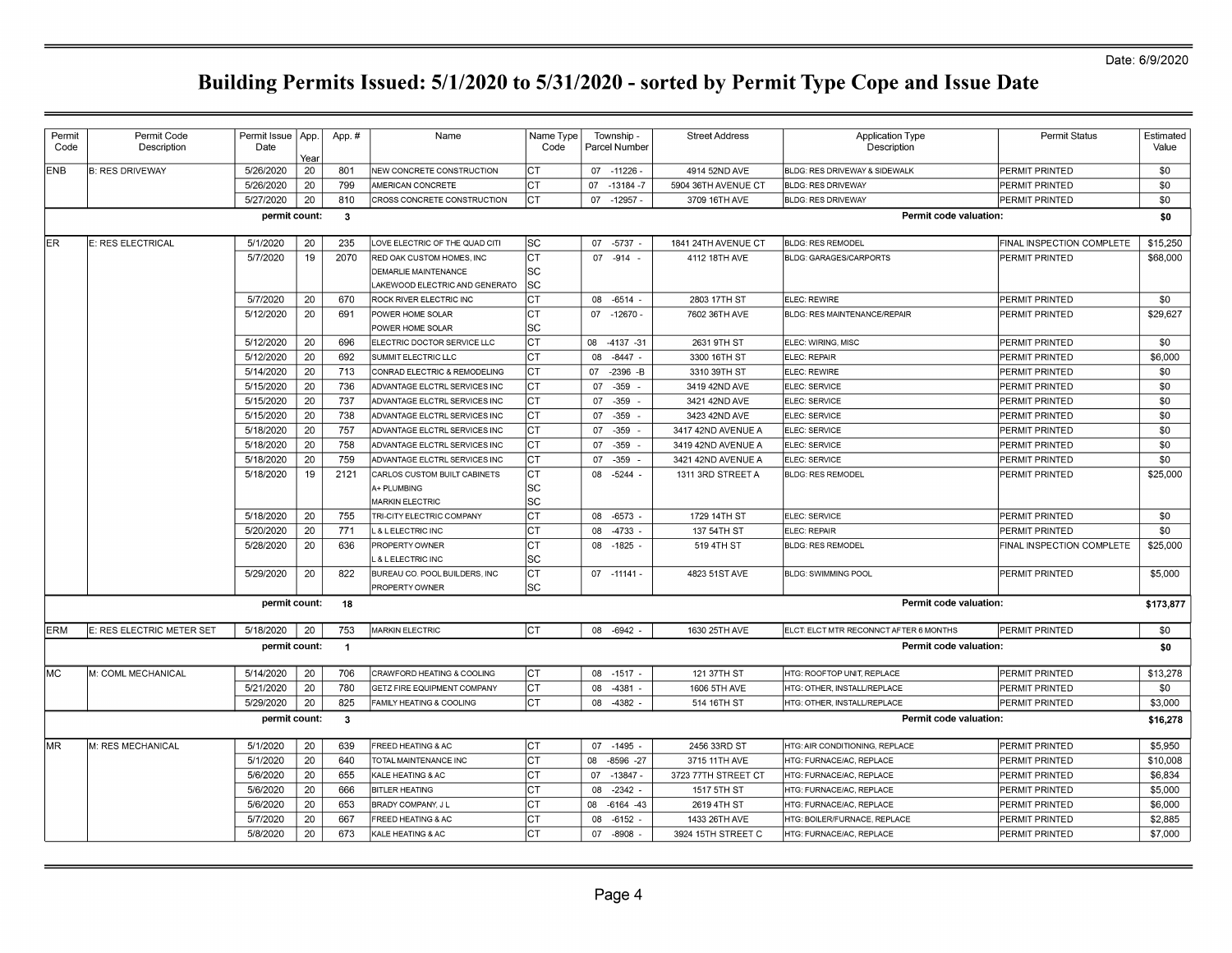| Year<br>ENB<br><b>B: RES DRIVEWAY</b><br>5/26/2020<br>20<br>801<br>NEW CONCRETE CONSTRUCTION<br>CТ<br>07 - 11226<br>4914 52ND AVE<br>BLDG: RES DRIVEWAY & SIDEWALK<br>PERMIT PRINTED<br>799<br>СT<br>5/26/2020<br>20<br>AMERICAN CONCRETE<br>07<br>$-13184 - 7$<br>5904 36TH AVENUE CT<br><b>BLDG: RES DRIVEWAY</b><br>PERMIT PRINTED<br>5/27/2020<br>20<br>СT<br>810<br>CROSS CONCRETE CONSTRUCTION<br>07 -12957 -<br>3709 16TH AVE<br><b>BLDG: RES DRIVEWAY</b><br>PERMIT PRINTED<br>Permit code valuation:<br>permit count:<br>$\mathbf{3}$<br>5/1/2020<br>235<br>lsc<br>$-5737$<br>1841 24TH AVENUE CT<br>FINAL INSPECTION COMPLETE<br>IER.<br>E: RES ELECTRICAL<br>20<br>LOVE ELECTRIC OF THE QUAD CITI<br>07<br><b>BLDG: RES REMODEL</b><br>5/7/2020<br>19<br>2070<br>IСТ<br>07 - 914 -<br>PERMIT PRINTED<br>RED OAK CUSTOM HOMES, INC<br>4112 18TH AVE<br>BLDG: GARAGES/CARPORTS<br><b>SC</b><br><b>DEMARLIE MAINTENANCE</b><br><b>SC</b><br>AKEWOOD ELECTRIC AND GENERATO<br>Iст<br>5/7/2020<br>20<br>670<br>ELEC: REWIRE<br>ROCK RIVER ELECTRIC INC<br>08 -6514 -<br>2803 17TH ST<br>PERMIT PRINTED<br>Iст<br>5/12/2020<br>20<br>691<br>07 -12670 -<br>PERMIT PRINTED<br>POWER HOME SOLAR<br>7602 36TH AVE<br>BLDG: RES MAINTENANCE/REPAIR<br><b>SC</b><br>POWER HOME SOLAR<br>IСТ<br>5/12/2020<br>20<br>696<br>ELECTRIC DOCTOR SERVICE LLC<br>08 -4137 -31<br>2631 9TH ST<br>ELEC: WIRING, MISC<br><b>PERMIT PRINTED</b><br>20<br>692<br>$-8447 -$<br>5/12/2020<br>SUMMIT ELECTRIC LLC<br>IСТ<br>08<br>3300 16TH ST<br>ELEC: REPAIR<br>PERMIT PRINTED<br>20<br>713<br>СT<br>5/14/2020<br>CONRAD ELECTRIC & REMODELING<br>07 -2396 -B<br>3310 39TH ST<br>ELEC: REWIRE<br>PERMIT PRINTED<br>20<br>736<br>IСТ<br>5/15/2020<br>ADVANTAGE ELCTRL SERVICES INC<br>07 - 359 -<br>3419 42ND AVE<br>ELEC: SERVICE<br>PERMIT PRINTED<br>737<br>5/15/2020<br>20<br>ADVANTAGE ELCTRL SERVICES INC<br>СT<br>07<br>$-359 -$<br>3421 42ND AVE<br>ELEC: SERVICE<br>PERMIT PRINTED<br>5/15/2020<br>20<br>738<br>ADVANTAGE ELCTRL SERVICES INC<br>IСТ<br>07<br>$-359$<br>3423 42ND AVE<br>ELEC: SERVICE<br>PERMIT PRINTED<br>20<br>757<br>$-359$<br>5/18/2020<br>ADVANTAGE ELCTRL SERVICES INC<br>IСТ<br>07<br>3417 42ND AVENUE A<br>ELEC: SERVICE<br>PERMIT PRINTED<br>20<br>758<br>Iст<br>5/18/2020<br>ADVANTAGE ELCTRL SERVICES INC<br>07 - 359 -<br>3419 42ND AVENUE A<br>ELEC: SERVICE<br>PERMIT PRINTED<br>759<br>5/18/2020<br>20<br>ADVANTAGE ELCTRL SERVICES INC<br>IСТ<br>$-359 -$<br>3421 42ND AVENUE A<br>ELEC: SERVICE<br>PERMIT PRINTED<br>07<br>19<br>2121<br>IСТ<br>5/18/2020<br>08 -5244 -<br><b>BLDG: RES REMODEL</b><br>CARLOS CUSTOM BUILT CABINETS<br>1311 3RD STREET A<br>PERMIT PRINTED<br>SC<br>A+ PLUMBING<br><b>SC</b><br><b>MARKIN ELECTRIC</b><br>IСТ<br>5/18/2020<br>20<br>755<br>08 -6573<br>1729 14TH ST<br>PERMIT PRINTED<br>TRI-CITY ELECTRIC COMPANY<br>ELEC: SERVICE<br>5/20/2020<br>20<br>771<br>IСТ<br>-4733<br>L & LELECTRIC INC<br>08<br>137 54TH ST<br>ELEC: REPAIR<br>PERMIT PRINTED<br>5/28/2020<br>20<br>636<br>IСТ<br>08 -1825<br>PROPERTY OWNER<br>519 4TH ST<br><b>BLDG: RES REMODEL</b><br>FINAL INSPECTION COMPLETE<br>lsc<br>& LELECTRIC INC<br>Iст<br>5/29/2020<br>20<br>822<br>BUREAU CO. POOL BUILDERS. INC<br>$07 - 11141 -$<br>4823 51ST AVE<br><b>BLDG: SWIMMING POOL</b><br>PERMIT PRINTED<br>SC<br>PROPERTY OWNER<br>Permit code valuation:<br>permit count:<br>18<br>753<br>lст<br><b>ERM</b><br>E: RES ELECTRIC METER SET<br>5/18/2020<br>20<br><b>MARKIN ELECTRIC</b><br>08 -6942<br>1630 25TH AVE<br>ELCT: ELCT MTR RECONNCT AFTER 6 MONTHS<br><b>PERMIT PRINTED</b><br>permit count:<br>Permit code valuation:<br>$\overline{1}$<br>706<br>lмc<br>5/14/2020<br>20<br>IСТ<br>$-1517$<br>121 37TH ST<br>PERMIT PRINTED<br>M: COML MECHANICAL<br>CRAWFORD HEATING & COOLING<br>08<br>HTG: ROOFTOP UNIT, REPLACE<br>5/21/2020<br>20<br>780<br>СT<br><b>GETZ FIRE EQUIPMENT COMPANY</b><br>08 -4381<br>1606 5TH AVE<br>HTG: OTHER, INSTALL/REPLACE<br>PERMIT PRINTED<br>5/29/2020<br>20<br>825<br>СT<br>FAMILY HEATING & COOLING<br>08<br>-4382<br>514 16TH ST<br>HTG: OTHER, INSTALL/REPLACE<br>PERMIT PRINTED<br>Permit code valuation:<br>permit count:<br>$\mathbf{3}$<br>lmr<br>5/1/2020<br>639<br>07 - 1495<br>2456 33RD ST<br>M: RES MECHANICAL<br>20<br>FREED HEATING & AC<br>IСТ<br>HTG: AIR CONDITIONING, REPLACE<br>PERMIT PRINTED | <b>Permit Status</b> | Estimated<br>Value |
|-----------------------------------------------------------------------------------------------------------------------------------------------------------------------------------------------------------------------------------------------------------------------------------------------------------------------------------------------------------------------------------------------------------------------------------------------------------------------------------------------------------------------------------------------------------------------------------------------------------------------------------------------------------------------------------------------------------------------------------------------------------------------------------------------------------------------------------------------------------------------------------------------------------------------------------------------------------------------------------------------------------------------------------------------------------------------------------------------------------------------------------------------------------------------------------------------------------------------------------------------------------------------------------------------------------------------------------------------------------------------------------------------------------------------------------------------------------------------------------------------------------------------------------------------------------------------------------------------------------------------------------------------------------------------------------------------------------------------------------------------------------------------------------------------------------------------------------------------------------------------------------------------------------------------------------------------------------------------------------------------------------------------------------------------------------------------------------------------------------------------------------------------------------------------------------------------------------------------------------------------------------------------------------------------------------------------------------------------------------------------------------------------------------------------------------------------------------------------------------------------------------------------------------------------------------------------------------------------------------------------------------------------------------------------------------------------------------------------------------------------------------------------------------------------------------------------------------------------------------------------------------------------------------------------------------------------------------------------------------------------------------------------------------------------------------------------------------------------------------------------------------------------------------------------------------------------------------------------------------------------------------------------------------------------------------------------------------------------------------------------------------------------------------------------------------------------------------------------------------------------------------------------------------------------------------------------------------------------------------------------------------------------------------------------------------------------------------------------------------------------------------------------------------------------------------------------------------------------------------------------------------------------------------------------------------------------------------------------------------------------------------------------------------------------------------------------------------------------------------------------------------------------------------------------------------------------------------------------------------------------------------------------------------------------------------------------------------------------------------------------------------------------|----------------------|--------------------|
|                                                                                                                                                                                                                                                                                                                                                                                                                                                                                                                                                                                                                                                                                                                                                                                                                                                                                                                                                                                                                                                                                                                                                                                                                                                                                                                                                                                                                                                                                                                                                                                                                                                                                                                                                                                                                                                                                                                                                                                                                                                                                                                                                                                                                                                                                                                                                                                                                                                                                                                                                                                                                                                                                                                                                                                                                                                                                                                                                                                                                                                                                                                                                                                                                                                                                                                                                                                                                                                                                                                                                                                                                                                                                                                                                                                                                                                                                                                                                                                                                                                                                                                                                                                                                                                                                                                                                                                               |                      | \$0                |
|                                                                                                                                                                                                                                                                                                                                                                                                                                                                                                                                                                                                                                                                                                                                                                                                                                                                                                                                                                                                                                                                                                                                                                                                                                                                                                                                                                                                                                                                                                                                                                                                                                                                                                                                                                                                                                                                                                                                                                                                                                                                                                                                                                                                                                                                                                                                                                                                                                                                                                                                                                                                                                                                                                                                                                                                                                                                                                                                                                                                                                                                                                                                                                                                                                                                                                                                                                                                                                                                                                                                                                                                                                                                                                                                                                                                                                                                                                                                                                                                                                                                                                                                                                                                                                                                                                                                                                                               |                      | \$0                |
|                                                                                                                                                                                                                                                                                                                                                                                                                                                                                                                                                                                                                                                                                                                                                                                                                                                                                                                                                                                                                                                                                                                                                                                                                                                                                                                                                                                                                                                                                                                                                                                                                                                                                                                                                                                                                                                                                                                                                                                                                                                                                                                                                                                                                                                                                                                                                                                                                                                                                                                                                                                                                                                                                                                                                                                                                                                                                                                                                                                                                                                                                                                                                                                                                                                                                                                                                                                                                                                                                                                                                                                                                                                                                                                                                                                                                                                                                                                                                                                                                                                                                                                                                                                                                                                                                                                                                                                               |                      | \$0                |
|                                                                                                                                                                                                                                                                                                                                                                                                                                                                                                                                                                                                                                                                                                                                                                                                                                                                                                                                                                                                                                                                                                                                                                                                                                                                                                                                                                                                                                                                                                                                                                                                                                                                                                                                                                                                                                                                                                                                                                                                                                                                                                                                                                                                                                                                                                                                                                                                                                                                                                                                                                                                                                                                                                                                                                                                                                                                                                                                                                                                                                                                                                                                                                                                                                                                                                                                                                                                                                                                                                                                                                                                                                                                                                                                                                                                                                                                                                                                                                                                                                                                                                                                                                                                                                                                                                                                                                                               |                      | \$0                |
|                                                                                                                                                                                                                                                                                                                                                                                                                                                                                                                                                                                                                                                                                                                                                                                                                                                                                                                                                                                                                                                                                                                                                                                                                                                                                                                                                                                                                                                                                                                                                                                                                                                                                                                                                                                                                                                                                                                                                                                                                                                                                                                                                                                                                                                                                                                                                                                                                                                                                                                                                                                                                                                                                                                                                                                                                                                                                                                                                                                                                                                                                                                                                                                                                                                                                                                                                                                                                                                                                                                                                                                                                                                                                                                                                                                                                                                                                                                                                                                                                                                                                                                                                                                                                                                                                                                                                                                               |                      |                    |
|                                                                                                                                                                                                                                                                                                                                                                                                                                                                                                                                                                                                                                                                                                                                                                                                                                                                                                                                                                                                                                                                                                                                                                                                                                                                                                                                                                                                                                                                                                                                                                                                                                                                                                                                                                                                                                                                                                                                                                                                                                                                                                                                                                                                                                                                                                                                                                                                                                                                                                                                                                                                                                                                                                                                                                                                                                                                                                                                                                                                                                                                                                                                                                                                                                                                                                                                                                                                                                                                                                                                                                                                                                                                                                                                                                                                                                                                                                                                                                                                                                                                                                                                                                                                                                                                                                                                                                                               |                      | \$15,250           |
|                                                                                                                                                                                                                                                                                                                                                                                                                                                                                                                                                                                                                                                                                                                                                                                                                                                                                                                                                                                                                                                                                                                                                                                                                                                                                                                                                                                                                                                                                                                                                                                                                                                                                                                                                                                                                                                                                                                                                                                                                                                                                                                                                                                                                                                                                                                                                                                                                                                                                                                                                                                                                                                                                                                                                                                                                                                                                                                                                                                                                                                                                                                                                                                                                                                                                                                                                                                                                                                                                                                                                                                                                                                                                                                                                                                                                                                                                                                                                                                                                                                                                                                                                                                                                                                                                                                                                                                               |                      | \$68,000           |
|                                                                                                                                                                                                                                                                                                                                                                                                                                                                                                                                                                                                                                                                                                                                                                                                                                                                                                                                                                                                                                                                                                                                                                                                                                                                                                                                                                                                                                                                                                                                                                                                                                                                                                                                                                                                                                                                                                                                                                                                                                                                                                                                                                                                                                                                                                                                                                                                                                                                                                                                                                                                                                                                                                                                                                                                                                                                                                                                                                                                                                                                                                                                                                                                                                                                                                                                                                                                                                                                                                                                                                                                                                                                                                                                                                                                                                                                                                                                                                                                                                                                                                                                                                                                                                                                                                                                                                                               |                      |                    |
|                                                                                                                                                                                                                                                                                                                                                                                                                                                                                                                                                                                                                                                                                                                                                                                                                                                                                                                                                                                                                                                                                                                                                                                                                                                                                                                                                                                                                                                                                                                                                                                                                                                                                                                                                                                                                                                                                                                                                                                                                                                                                                                                                                                                                                                                                                                                                                                                                                                                                                                                                                                                                                                                                                                                                                                                                                                                                                                                                                                                                                                                                                                                                                                                                                                                                                                                                                                                                                                                                                                                                                                                                                                                                                                                                                                                                                                                                                                                                                                                                                                                                                                                                                                                                                                                                                                                                                                               |                      |                    |
|                                                                                                                                                                                                                                                                                                                                                                                                                                                                                                                                                                                                                                                                                                                                                                                                                                                                                                                                                                                                                                                                                                                                                                                                                                                                                                                                                                                                                                                                                                                                                                                                                                                                                                                                                                                                                                                                                                                                                                                                                                                                                                                                                                                                                                                                                                                                                                                                                                                                                                                                                                                                                                                                                                                                                                                                                                                                                                                                                                                                                                                                                                                                                                                                                                                                                                                                                                                                                                                                                                                                                                                                                                                                                                                                                                                                                                                                                                                                                                                                                                                                                                                                                                                                                                                                                                                                                                                               |                      | \$0                |
|                                                                                                                                                                                                                                                                                                                                                                                                                                                                                                                                                                                                                                                                                                                                                                                                                                                                                                                                                                                                                                                                                                                                                                                                                                                                                                                                                                                                                                                                                                                                                                                                                                                                                                                                                                                                                                                                                                                                                                                                                                                                                                                                                                                                                                                                                                                                                                                                                                                                                                                                                                                                                                                                                                                                                                                                                                                                                                                                                                                                                                                                                                                                                                                                                                                                                                                                                                                                                                                                                                                                                                                                                                                                                                                                                                                                                                                                                                                                                                                                                                                                                                                                                                                                                                                                                                                                                                                               |                      | \$29,627           |
|                                                                                                                                                                                                                                                                                                                                                                                                                                                                                                                                                                                                                                                                                                                                                                                                                                                                                                                                                                                                                                                                                                                                                                                                                                                                                                                                                                                                                                                                                                                                                                                                                                                                                                                                                                                                                                                                                                                                                                                                                                                                                                                                                                                                                                                                                                                                                                                                                                                                                                                                                                                                                                                                                                                                                                                                                                                                                                                                                                                                                                                                                                                                                                                                                                                                                                                                                                                                                                                                                                                                                                                                                                                                                                                                                                                                                                                                                                                                                                                                                                                                                                                                                                                                                                                                                                                                                                                               |                      |                    |
|                                                                                                                                                                                                                                                                                                                                                                                                                                                                                                                                                                                                                                                                                                                                                                                                                                                                                                                                                                                                                                                                                                                                                                                                                                                                                                                                                                                                                                                                                                                                                                                                                                                                                                                                                                                                                                                                                                                                                                                                                                                                                                                                                                                                                                                                                                                                                                                                                                                                                                                                                                                                                                                                                                                                                                                                                                                                                                                                                                                                                                                                                                                                                                                                                                                                                                                                                                                                                                                                                                                                                                                                                                                                                                                                                                                                                                                                                                                                                                                                                                                                                                                                                                                                                                                                                                                                                                                               |                      | \$0                |
|                                                                                                                                                                                                                                                                                                                                                                                                                                                                                                                                                                                                                                                                                                                                                                                                                                                                                                                                                                                                                                                                                                                                                                                                                                                                                                                                                                                                                                                                                                                                                                                                                                                                                                                                                                                                                                                                                                                                                                                                                                                                                                                                                                                                                                                                                                                                                                                                                                                                                                                                                                                                                                                                                                                                                                                                                                                                                                                                                                                                                                                                                                                                                                                                                                                                                                                                                                                                                                                                                                                                                                                                                                                                                                                                                                                                                                                                                                                                                                                                                                                                                                                                                                                                                                                                                                                                                                                               |                      | \$6,000            |
|                                                                                                                                                                                                                                                                                                                                                                                                                                                                                                                                                                                                                                                                                                                                                                                                                                                                                                                                                                                                                                                                                                                                                                                                                                                                                                                                                                                                                                                                                                                                                                                                                                                                                                                                                                                                                                                                                                                                                                                                                                                                                                                                                                                                                                                                                                                                                                                                                                                                                                                                                                                                                                                                                                                                                                                                                                                                                                                                                                                                                                                                                                                                                                                                                                                                                                                                                                                                                                                                                                                                                                                                                                                                                                                                                                                                                                                                                                                                                                                                                                                                                                                                                                                                                                                                                                                                                                                               |                      | \$0                |
|                                                                                                                                                                                                                                                                                                                                                                                                                                                                                                                                                                                                                                                                                                                                                                                                                                                                                                                                                                                                                                                                                                                                                                                                                                                                                                                                                                                                                                                                                                                                                                                                                                                                                                                                                                                                                                                                                                                                                                                                                                                                                                                                                                                                                                                                                                                                                                                                                                                                                                                                                                                                                                                                                                                                                                                                                                                                                                                                                                                                                                                                                                                                                                                                                                                                                                                                                                                                                                                                                                                                                                                                                                                                                                                                                                                                                                                                                                                                                                                                                                                                                                                                                                                                                                                                                                                                                                                               |                      | \$0                |
|                                                                                                                                                                                                                                                                                                                                                                                                                                                                                                                                                                                                                                                                                                                                                                                                                                                                                                                                                                                                                                                                                                                                                                                                                                                                                                                                                                                                                                                                                                                                                                                                                                                                                                                                                                                                                                                                                                                                                                                                                                                                                                                                                                                                                                                                                                                                                                                                                                                                                                                                                                                                                                                                                                                                                                                                                                                                                                                                                                                                                                                                                                                                                                                                                                                                                                                                                                                                                                                                                                                                                                                                                                                                                                                                                                                                                                                                                                                                                                                                                                                                                                                                                                                                                                                                                                                                                                                               |                      | \$0                |
|                                                                                                                                                                                                                                                                                                                                                                                                                                                                                                                                                                                                                                                                                                                                                                                                                                                                                                                                                                                                                                                                                                                                                                                                                                                                                                                                                                                                                                                                                                                                                                                                                                                                                                                                                                                                                                                                                                                                                                                                                                                                                                                                                                                                                                                                                                                                                                                                                                                                                                                                                                                                                                                                                                                                                                                                                                                                                                                                                                                                                                                                                                                                                                                                                                                                                                                                                                                                                                                                                                                                                                                                                                                                                                                                                                                                                                                                                                                                                                                                                                                                                                                                                                                                                                                                                                                                                                                               |                      | \$0                |
|                                                                                                                                                                                                                                                                                                                                                                                                                                                                                                                                                                                                                                                                                                                                                                                                                                                                                                                                                                                                                                                                                                                                                                                                                                                                                                                                                                                                                                                                                                                                                                                                                                                                                                                                                                                                                                                                                                                                                                                                                                                                                                                                                                                                                                                                                                                                                                                                                                                                                                                                                                                                                                                                                                                                                                                                                                                                                                                                                                                                                                                                                                                                                                                                                                                                                                                                                                                                                                                                                                                                                                                                                                                                                                                                                                                                                                                                                                                                                                                                                                                                                                                                                                                                                                                                                                                                                                                               |                      | \$0                |
|                                                                                                                                                                                                                                                                                                                                                                                                                                                                                                                                                                                                                                                                                                                                                                                                                                                                                                                                                                                                                                                                                                                                                                                                                                                                                                                                                                                                                                                                                                                                                                                                                                                                                                                                                                                                                                                                                                                                                                                                                                                                                                                                                                                                                                                                                                                                                                                                                                                                                                                                                                                                                                                                                                                                                                                                                                                                                                                                                                                                                                                                                                                                                                                                                                                                                                                                                                                                                                                                                                                                                                                                                                                                                                                                                                                                                                                                                                                                                                                                                                                                                                                                                                                                                                                                                                                                                                                               |                      | \$0                |
|                                                                                                                                                                                                                                                                                                                                                                                                                                                                                                                                                                                                                                                                                                                                                                                                                                                                                                                                                                                                                                                                                                                                                                                                                                                                                                                                                                                                                                                                                                                                                                                                                                                                                                                                                                                                                                                                                                                                                                                                                                                                                                                                                                                                                                                                                                                                                                                                                                                                                                                                                                                                                                                                                                                                                                                                                                                                                                                                                                                                                                                                                                                                                                                                                                                                                                                                                                                                                                                                                                                                                                                                                                                                                                                                                                                                                                                                                                                                                                                                                                                                                                                                                                                                                                                                                                                                                                                               |                      | \$0                |
|                                                                                                                                                                                                                                                                                                                                                                                                                                                                                                                                                                                                                                                                                                                                                                                                                                                                                                                                                                                                                                                                                                                                                                                                                                                                                                                                                                                                                                                                                                                                                                                                                                                                                                                                                                                                                                                                                                                                                                                                                                                                                                                                                                                                                                                                                                                                                                                                                                                                                                                                                                                                                                                                                                                                                                                                                                                                                                                                                                                                                                                                                                                                                                                                                                                                                                                                                                                                                                                                                                                                                                                                                                                                                                                                                                                                                                                                                                                                                                                                                                                                                                                                                                                                                                                                                                                                                                                               |                      | \$25,000           |
|                                                                                                                                                                                                                                                                                                                                                                                                                                                                                                                                                                                                                                                                                                                                                                                                                                                                                                                                                                                                                                                                                                                                                                                                                                                                                                                                                                                                                                                                                                                                                                                                                                                                                                                                                                                                                                                                                                                                                                                                                                                                                                                                                                                                                                                                                                                                                                                                                                                                                                                                                                                                                                                                                                                                                                                                                                                                                                                                                                                                                                                                                                                                                                                                                                                                                                                                                                                                                                                                                                                                                                                                                                                                                                                                                                                                                                                                                                                                                                                                                                                                                                                                                                                                                                                                                                                                                                                               |                      |                    |
|                                                                                                                                                                                                                                                                                                                                                                                                                                                                                                                                                                                                                                                                                                                                                                                                                                                                                                                                                                                                                                                                                                                                                                                                                                                                                                                                                                                                                                                                                                                                                                                                                                                                                                                                                                                                                                                                                                                                                                                                                                                                                                                                                                                                                                                                                                                                                                                                                                                                                                                                                                                                                                                                                                                                                                                                                                                                                                                                                                                                                                                                                                                                                                                                                                                                                                                                                                                                                                                                                                                                                                                                                                                                                                                                                                                                                                                                                                                                                                                                                                                                                                                                                                                                                                                                                                                                                                                               |                      |                    |
|                                                                                                                                                                                                                                                                                                                                                                                                                                                                                                                                                                                                                                                                                                                                                                                                                                                                                                                                                                                                                                                                                                                                                                                                                                                                                                                                                                                                                                                                                                                                                                                                                                                                                                                                                                                                                                                                                                                                                                                                                                                                                                                                                                                                                                                                                                                                                                                                                                                                                                                                                                                                                                                                                                                                                                                                                                                                                                                                                                                                                                                                                                                                                                                                                                                                                                                                                                                                                                                                                                                                                                                                                                                                                                                                                                                                                                                                                                                                                                                                                                                                                                                                                                                                                                                                                                                                                                                               |                      | \$0                |
|                                                                                                                                                                                                                                                                                                                                                                                                                                                                                                                                                                                                                                                                                                                                                                                                                                                                                                                                                                                                                                                                                                                                                                                                                                                                                                                                                                                                                                                                                                                                                                                                                                                                                                                                                                                                                                                                                                                                                                                                                                                                                                                                                                                                                                                                                                                                                                                                                                                                                                                                                                                                                                                                                                                                                                                                                                                                                                                                                                                                                                                                                                                                                                                                                                                                                                                                                                                                                                                                                                                                                                                                                                                                                                                                                                                                                                                                                                                                                                                                                                                                                                                                                                                                                                                                                                                                                                                               |                      | \$0                |
|                                                                                                                                                                                                                                                                                                                                                                                                                                                                                                                                                                                                                                                                                                                                                                                                                                                                                                                                                                                                                                                                                                                                                                                                                                                                                                                                                                                                                                                                                                                                                                                                                                                                                                                                                                                                                                                                                                                                                                                                                                                                                                                                                                                                                                                                                                                                                                                                                                                                                                                                                                                                                                                                                                                                                                                                                                                                                                                                                                                                                                                                                                                                                                                                                                                                                                                                                                                                                                                                                                                                                                                                                                                                                                                                                                                                                                                                                                                                                                                                                                                                                                                                                                                                                                                                                                                                                                                               |                      | \$25,000           |
|                                                                                                                                                                                                                                                                                                                                                                                                                                                                                                                                                                                                                                                                                                                                                                                                                                                                                                                                                                                                                                                                                                                                                                                                                                                                                                                                                                                                                                                                                                                                                                                                                                                                                                                                                                                                                                                                                                                                                                                                                                                                                                                                                                                                                                                                                                                                                                                                                                                                                                                                                                                                                                                                                                                                                                                                                                                                                                                                                                                                                                                                                                                                                                                                                                                                                                                                                                                                                                                                                                                                                                                                                                                                                                                                                                                                                                                                                                                                                                                                                                                                                                                                                                                                                                                                                                                                                                                               |                      | \$5,000            |
|                                                                                                                                                                                                                                                                                                                                                                                                                                                                                                                                                                                                                                                                                                                                                                                                                                                                                                                                                                                                                                                                                                                                                                                                                                                                                                                                                                                                                                                                                                                                                                                                                                                                                                                                                                                                                                                                                                                                                                                                                                                                                                                                                                                                                                                                                                                                                                                                                                                                                                                                                                                                                                                                                                                                                                                                                                                                                                                                                                                                                                                                                                                                                                                                                                                                                                                                                                                                                                                                                                                                                                                                                                                                                                                                                                                                                                                                                                                                                                                                                                                                                                                                                                                                                                                                                                                                                                                               |                      |                    |
|                                                                                                                                                                                                                                                                                                                                                                                                                                                                                                                                                                                                                                                                                                                                                                                                                                                                                                                                                                                                                                                                                                                                                                                                                                                                                                                                                                                                                                                                                                                                                                                                                                                                                                                                                                                                                                                                                                                                                                                                                                                                                                                                                                                                                                                                                                                                                                                                                                                                                                                                                                                                                                                                                                                                                                                                                                                                                                                                                                                                                                                                                                                                                                                                                                                                                                                                                                                                                                                                                                                                                                                                                                                                                                                                                                                                                                                                                                                                                                                                                                                                                                                                                                                                                                                                                                                                                                                               |                      |                    |
|                                                                                                                                                                                                                                                                                                                                                                                                                                                                                                                                                                                                                                                                                                                                                                                                                                                                                                                                                                                                                                                                                                                                                                                                                                                                                                                                                                                                                                                                                                                                                                                                                                                                                                                                                                                                                                                                                                                                                                                                                                                                                                                                                                                                                                                                                                                                                                                                                                                                                                                                                                                                                                                                                                                                                                                                                                                                                                                                                                                                                                                                                                                                                                                                                                                                                                                                                                                                                                                                                                                                                                                                                                                                                                                                                                                                                                                                                                                                                                                                                                                                                                                                                                                                                                                                                                                                                                                               |                      | \$173,877          |
|                                                                                                                                                                                                                                                                                                                                                                                                                                                                                                                                                                                                                                                                                                                                                                                                                                                                                                                                                                                                                                                                                                                                                                                                                                                                                                                                                                                                                                                                                                                                                                                                                                                                                                                                                                                                                                                                                                                                                                                                                                                                                                                                                                                                                                                                                                                                                                                                                                                                                                                                                                                                                                                                                                                                                                                                                                                                                                                                                                                                                                                                                                                                                                                                                                                                                                                                                                                                                                                                                                                                                                                                                                                                                                                                                                                                                                                                                                                                                                                                                                                                                                                                                                                                                                                                                                                                                                                               |                      | \$0                |
|                                                                                                                                                                                                                                                                                                                                                                                                                                                                                                                                                                                                                                                                                                                                                                                                                                                                                                                                                                                                                                                                                                                                                                                                                                                                                                                                                                                                                                                                                                                                                                                                                                                                                                                                                                                                                                                                                                                                                                                                                                                                                                                                                                                                                                                                                                                                                                                                                                                                                                                                                                                                                                                                                                                                                                                                                                                                                                                                                                                                                                                                                                                                                                                                                                                                                                                                                                                                                                                                                                                                                                                                                                                                                                                                                                                                                                                                                                                                                                                                                                                                                                                                                                                                                                                                                                                                                                                               |                      | \$0                |
|                                                                                                                                                                                                                                                                                                                                                                                                                                                                                                                                                                                                                                                                                                                                                                                                                                                                                                                                                                                                                                                                                                                                                                                                                                                                                                                                                                                                                                                                                                                                                                                                                                                                                                                                                                                                                                                                                                                                                                                                                                                                                                                                                                                                                                                                                                                                                                                                                                                                                                                                                                                                                                                                                                                                                                                                                                                                                                                                                                                                                                                                                                                                                                                                                                                                                                                                                                                                                                                                                                                                                                                                                                                                                                                                                                                                                                                                                                                                                                                                                                                                                                                                                                                                                                                                                                                                                                                               |                      |                    |
|                                                                                                                                                                                                                                                                                                                                                                                                                                                                                                                                                                                                                                                                                                                                                                                                                                                                                                                                                                                                                                                                                                                                                                                                                                                                                                                                                                                                                                                                                                                                                                                                                                                                                                                                                                                                                                                                                                                                                                                                                                                                                                                                                                                                                                                                                                                                                                                                                                                                                                                                                                                                                                                                                                                                                                                                                                                                                                                                                                                                                                                                                                                                                                                                                                                                                                                                                                                                                                                                                                                                                                                                                                                                                                                                                                                                                                                                                                                                                                                                                                                                                                                                                                                                                                                                                                                                                                                               |                      | \$13,278           |
|                                                                                                                                                                                                                                                                                                                                                                                                                                                                                                                                                                                                                                                                                                                                                                                                                                                                                                                                                                                                                                                                                                                                                                                                                                                                                                                                                                                                                                                                                                                                                                                                                                                                                                                                                                                                                                                                                                                                                                                                                                                                                                                                                                                                                                                                                                                                                                                                                                                                                                                                                                                                                                                                                                                                                                                                                                                                                                                                                                                                                                                                                                                                                                                                                                                                                                                                                                                                                                                                                                                                                                                                                                                                                                                                                                                                                                                                                                                                                                                                                                                                                                                                                                                                                                                                                                                                                                                               |                      | \$0                |
|                                                                                                                                                                                                                                                                                                                                                                                                                                                                                                                                                                                                                                                                                                                                                                                                                                                                                                                                                                                                                                                                                                                                                                                                                                                                                                                                                                                                                                                                                                                                                                                                                                                                                                                                                                                                                                                                                                                                                                                                                                                                                                                                                                                                                                                                                                                                                                                                                                                                                                                                                                                                                                                                                                                                                                                                                                                                                                                                                                                                                                                                                                                                                                                                                                                                                                                                                                                                                                                                                                                                                                                                                                                                                                                                                                                                                                                                                                                                                                                                                                                                                                                                                                                                                                                                                                                                                                                               |                      | \$3,000            |
|                                                                                                                                                                                                                                                                                                                                                                                                                                                                                                                                                                                                                                                                                                                                                                                                                                                                                                                                                                                                                                                                                                                                                                                                                                                                                                                                                                                                                                                                                                                                                                                                                                                                                                                                                                                                                                                                                                                                                                                                                                                                                                                                                                                                                                                                                                                                                                                                                                                                                                                                                                                                                                                                                                                                                                                                                                                                                                                                                                                                                                                                                                                                                                                                                                                                                                                                                                                                                                                                                                                                                                                                                                                                                                                                                                                                                                                                                                                                                                                                                                                                                                                                                                                                                                                                                                                                                                                               |                      | \$16,278           |
|                                                                                                                                                                                                                                                                                                                                                                                                                                                                                                                                                                                                                                                                                                                                                                                                                                                                                                                                                                                                                                                                                                                                                                                                                                                                                                                                                                                                                                                                                                                                                                                                                                                                                                                                                                                                                                                                                                                                                                                                                                                                                                                                                                                                                                                                                                                                                                                                                                                                                                                                                                                                                                                                                                                                                                                                                                                                                                                                                                                                                                                                                                                                                                                                                                                                                                                                                                                                                                                                                                                                                                                                                                                                                                                                                                                                                                                                                                                                                                                                                                                                                                                                                                                                                                                                                                                                                                                               |                      | \$5,950            |
| 5/1/2020<br>20<br>640<br>IСТ<br>$-8596 -27$<br>TOTAL MAINTENANCE INC<br>08<br>3715 11TH AVE<br>PERMIT PRINTED<br>HTG: FURNACE/AC, REPLACE                                                                                                                                                                                                                                                                                                                                                                                                                                                                                                                                                                                                                                                                                                                                                                                                                                                                                                                                                                                                                                                                                                                                                                                                                                                                                                                                                                                                                                                                                                                                                                                                                                                                                                                                                                                                                                                                                                                                                                                                                                                                                                                                                                                                                                                                                                                                                                                                                                                                                                                                                                                                                                                                                                                                                                                                                                                                                                                                                                                                                                                                                                                                                                                                                                                                                                                                                                                                                                                                                                                                                                                                                                                                                                                                                                                                                                                                                                                                                                                                                                                                                                                                                                                                                                                     |                      | \$10,008           |
| 5/6/2020<br>20<br>655<br>IСТ<br>$-13847$<br>3723 77TH STREET CT<br>KALE HEATING & AC<br>07<br>HTG: FURNACE/AC, REPLACE<br>PERMIT PRINTED                                                                                                                                                                                                                                                                                                                                                                                                                                                                                                                                                                                                                                                                                                                                                                                                                                                                                                                                                                                                                                                                                                                                                                                                                                                                                                                                                                                                                                                                                                                                                                                                                                                                                                                                                                                                                                                                                                                                                                                                                                                                                                                                                                                                                                                                                                                                                                                                                                                                                                                                                                                                                                                                                                                                                                                                                                                                                                                                                                                                                                                                                                                                                                                                                                                                                                                                                                                                                                                                                                                                                                                                                                                                                                                                                                                                                                                                                                                                                                                                                                                                                                                                                                                                                                                      |                      | \$6,834            |
| 5/6/2020<br>20<br>666<br>СT<br><b>BITLER HEATING</b><br>$-2342$<br>1517 5TH ST<br>08<br>HTG: FURNACE/AC, REPLACE<br>PERMIT PRINTED                                                                                                                                                                                                                                                                                                                                                                                                                                                                                                                                                                                                                                                                                                                                                                                                                                                                                                                                                                                                                                                                                                                                                                                                                                                                                                                                                                                                                                                                                                                                                                                                                                                                                                                                                                                                                                                                                                                                                                                                                                                                                                                                                                                                                                                                                                                                                                                                                                                                                                                                                                                                                                                                                                                                                                                                                                                                                                                                                                                                                                                                                                                                                                                                                                                                                                                                                                                                                                                                                                                                                                                                                                                                                                                                                                                                                                                                                                                                                                                                                                                                                                                                                                                                                                                            |                      | \$5,000            |
| 5/6/2020<br>20<br>653<br>IСТ<br>08<br>$-6164 - 43$<br>2619 4TH ST<br>BRADY COMPANY, J L<br>HTG: FURNACE/AC, REPLACE<br>PERMIT PRINTED                                                                                                                                                                                                                                                                                                                                                                                                                                                                                                                                                                                                                                                                                                                                                                                                                                                                                                                                                                                                                                                                                                                                                                                                                                                                                                                                                                                                                                                                                                                                                                                                                                                                                                                                                                                                                                                                                                                                                                                                                                                                                                                                                                                                                                                                                                                                                                                                                                                                                                                                                                                                                                                                                                                                                                                                                                                                                                                                                                                                                                                                                                                                                                                                                                                                                                                                                                                                                                                                                                                                                                                                                                                                                                                                                                                                                                                                                                                                                                                                                                                                                                                                                                                                                                                         |                      | \$6,000            |
| 5/7/2020<br>20<br>667<br>СT<br>FREED HEATING & AC<br>$-6152$<br>1433 26TH AVE<br>PERMIT PRINTED<br>08<br>HTG: BOILER/FURNACE, REPLACE                                                                                                                                                                                                                                                                                                                                                                                                                                                                                                                                                                                                                                                                                                                                                                                                                                                                                                                                                                                                                                                                                                                                                                                                                                                                                                                                                                                                                                                                                                                                                                                                                                                                                                                                                                                                                                                                                                                                                                                                                                                                                                                                                                                                                                                                                                                                                                                                                                                                                                                                                                                                                                                                                                                                                                                                                                                                                                                                                                                                                                                                                                                                                                                                                                                                                                                                                                                                                                                                                                                                                                                                                                                                                                                                                                                                                                                                                                                                                                                                                                                                                                                                                                                                                                                         |                      | \$2,885            |
| 5/8/2020<br>20<br>673<br>СT<br>-8908<br>3924 15TH STREET C<br>PERMIT PRINTED<br>KALE HEATING & AC<br>07<br>HTG: FURNACE/AC, REPLACE                                                                                                                                                                                                                                                                                                                                                                                                                                                                                                                                                                                                                                                                                                                                                                                                                                                                                                                                                                                                                                                                                                                                                                                                                                                                                                                                                                                                                                                                                                                                                                                                                                                                                                                                                                                                                                                                                                                                                                                                                                                                                                                                                                                                                                                                                                                                                                                                                                                                                                                                                                                                                                                                                                                                                                                                                                                                                                                                                                                                                                                                                                                                                                                                                                                                                                                                                                                                                                                                                                                                                                                                                                                                                                                                                                                                                                                                                                                                                                                                                                                                                                                                                                                                                                                           |                      | \$7,000            |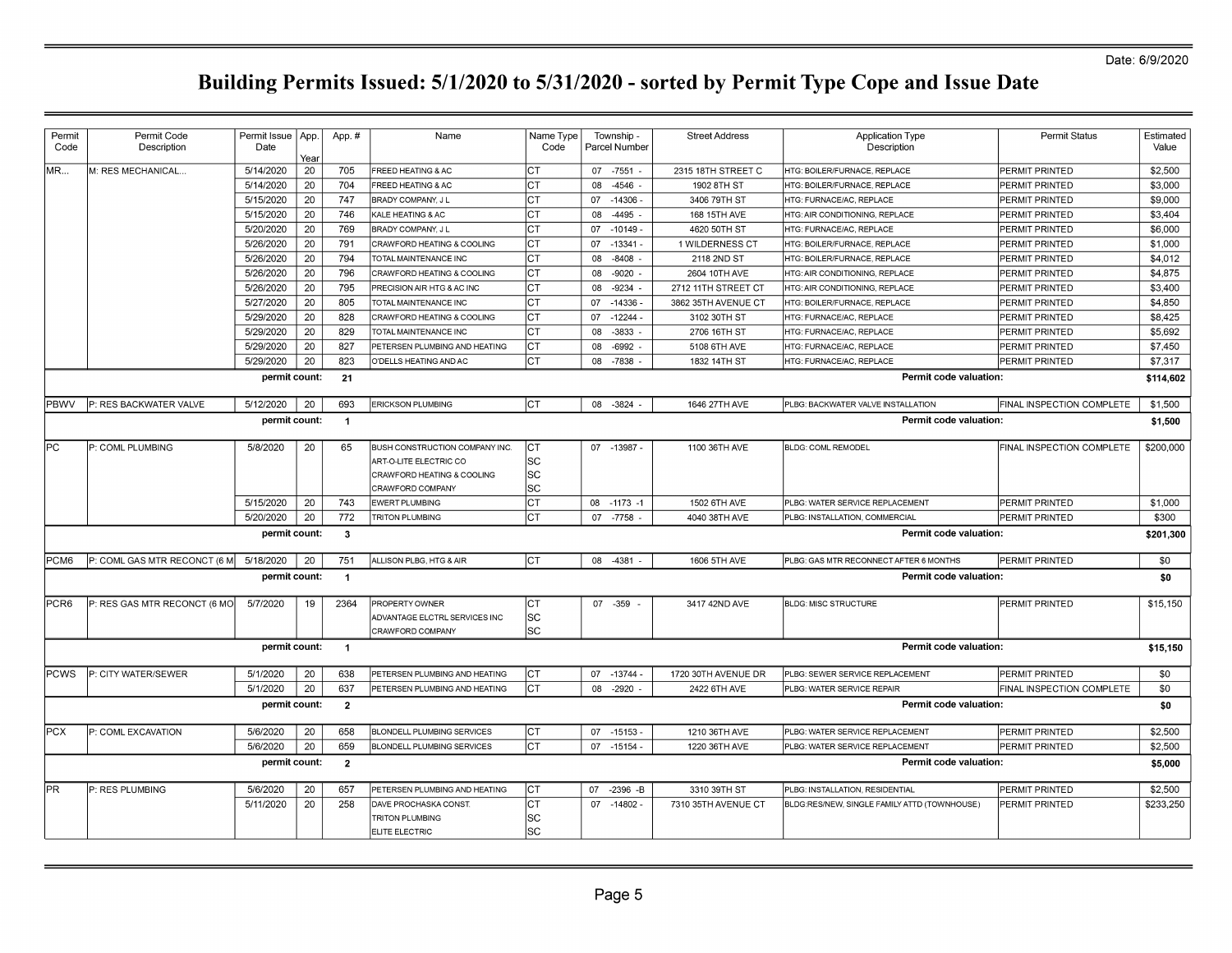| Permit<br>Code | Permit Code<br>Description   | Permit Issue<br>Date | App.<br>Year | App.#                | Name                                  | Name Type<br>Code |    | Township -<br>Parcel Number | <b>Street Address</b> | <b>Application Type</b><br>Description       | <b>Permit Status</b>      | Estimated<br>Value |
|----------------|------------------------------|----------------------|--------------|----------------------|---------------------------------------|-------------------|----|-----------------------------|-----------------------|----------------------------------------------|---------------------------|--------------------|
| lmr…           | M: RES MECHANICAL.           | 5/14/2020            | 20           | 705                  | <b>FREED HEATING &amp; AC</b>         | Iст               |    | 07 -7551                    | 2315 18TH STREET C    | HTG: BOILER/FURNACE, REPLACE                 | <b>PERMIT PRINTED</b>     | \$2,500            |
|                |                              | 5/14/2020            | 20           | 704                  | FREED HEATING & AC                    | Iст               | 80 | -4546                       | 1902 8TH ST           | HTG: BOILER/FURNACE, REPLACE                 | PERMIT PRINTED            | \$3,000            |
|                |                              | 5/15/2020            | 20           | 747                  | BRADY COMPANY, J L                    | Iст               |    | 07 - 14306                  | 3406 79TH ST          | HTG: FURNACE/AC. REPLACE                     | PERMIT PRINTED            | \$9,000            |
|                |                              | 5/15/2020            | 20           | 746                  | KALE HEATING & AC                     | Iст               | 08 | $-4495$                     | 168 15TH AVE          | HTG: AIR CONDITIONING, REPLACE               | PERMIT PRINTED            | \$3,404            |
|                |                              | 5/20/2020            | 20           | 769                  | BRADY COMPANY, J L                    | Iст               |    | 07 -10149 -                 | 4620 50TH ST          | HTG: FURNACE/AC, REPLACE                     | PERMIT PRINTED            | \$6,000            |
|                |                              | 5/26/2020            | 20           | 791                  | CRAWFORD HEATING & COOLING            | Iст               | 07 | $-13341 -$                  | 1 WILDERNESS CT       | HTG: BOILER/FURNACE, REPLACE                 | PERMIT PRINTED            | \$1,000            |
|                |                              | 5/26/2020            | 20           | 794                  | TOTAL MAINTENANCE INC                 | Iст               | 08 | $-8408$                     | 2118 2ND ST           | HTG: BOILER/FURNACE, REPLACE                 | PERMIT PRINTED            | \$4,012            |
|                |                              | 5/26/2020            | 20           | 796                  | CRAWFORD HEATING & COOLING            | Iст               | 08 | $-9020$                     | 2604 10TH AVE         | HTG: AIR CONDITIONING, REPLACE               | PERMIT PRINTED            | \$4,875            |
|                |                              | 5/26/2020            | 20           | 795                  | PRECISION AIR HTG & AC INC            | Iст               | 08 | -9234                       | 2712 11TH STREET CT   | HTG: AIR CONDITIONING, REPLACE               | PERMIT PRINTED            | \$3,400            |
|                |                              | 5/27/2020            | 20           | 805                  | TOTAL MAINTENANCE INC                 | Iст               | 07 | $-14336$                    | 3862 35TH AVENUE CT   | HTG: BOILER/FURNACE, REPLACE                 | PERMIT PRINTED            | \$4,850            |
|                |                              | 5/29/2020            | 20           | 828                  | CRAWFORD HEATING & COOLING            | Iст               | 07 | $-12244$                    | 3102 30TH ST          | HTG: FURNACE/AC, REPLACE                     | <b>PERMIT PRINTED</b>     | \$8,425            |
|                |                              | 5/29/2020            | 20           | 829                  | TOTAL MAINTENANCE INC                 | Iст               | 08 | $-3833$                     | 2706 16TH ST          | HTG: FURNACE/AC. REPLACE                     | PERMIT PRINTED            | \$5,692            |
|                |                              | 5/29/2020            | 20           | 827                  | PETERSEN PLUMBING AND HEATING         | Iст               | 08 | $-6992$                     | 5108 6TH AVE          | HTG: FURNACE/AC, REPLACE                     | PERMIT PRINTED            | \$7,450            |
|                |                              | 5/29/2020            | 20           | 823                  | O'DELLS HEATING AND AC                | Iст               | 08 | -7838                       | 1832 14TH ST          | HTG: FURNACE/AC, REPLACE                     | PERMIT PRINTED            | \$7,317            |
|                |                              | permit count:        |              | 21                   |                                       |                   |    |                             |                       | <b>Permit code valuation:</b>                |                           | \$114,602          |
| PBWV           | P: RES BACKWATER VALVE       | 5/12/2020            | 20           | 693                  | <b>ERICKSON PLUMBING</b>              | <b>CT</b>         |    | 08 - 3824                   | 1646 27TH AVE         | PLBG: BACKWATER VALVE INSTALLATION           | FINAL INSPECTION COMPLETE | \$1,500            |
|                |                              | permit count:        |              | $\overline{1}$       |                                       |                   |    |                             |                       | Permit code valuation:                       |                           | \$1,500            |
| IPC.           | P: COML PLUMBING             | 5/8/2020             | 20           | 65                   | <b>BUSH CONSTRUCTION COMPANY INC.</b> | CT                |    | 07 -13987 -                 | 1100 36TH AVE         | <b>BLDG: COML REMODEL</b>                    | FINAL INSPECTION COMPLETE | \$200,000          |
|                |                              |                      |              |                      | ART-O-LITE ELECTRIC CO                | SC                |    |                             |                       |                                              |                           |                    |
|                |                              |                      |              |                      | CRAWFORD HEATING & COOLING            | SC                |    |                             |                       |                                              |                           |                    |
|                |                              |                      |              |                      | CRAWFORD COMPANY                      | SC                |    |                             |                       |                                              |                           |                    |
|                |                              | 5/15/2020            | 20           | 743                  | <b>EWERT PLUMBING</b>                 | Iст               |    | 08 -1173 -1                 | 1502 6TH AVE          | PLBG: WATER SERVICE REPLACEMENT              | PERMIT PRINTED            | \$1,000            |
|                |                              | 5/20/2020            | 20           | 772                  | <b>TRITON PLUMBING</b>                | Iст               |    | 07 -7758                    | 4040 38TH AVE         | PLBG: INSTALLATION, COMMERCIAL               | PERMIT PRINTED            | \$300              |
|                |                              | permit count:        |              | -3                   |                                       |                   |    |                             |                       | Permit code valuation:                       |                           | \$201,300          |
| PCM6           | P: COML GAS MTR RECONCT (6 M | 5/18/2020            | 20           | 751                  | ALLISON PLBG, HTG & AIR               | Iст               |    | 08 -4381                    | 1606 5TH AVE          | PLBG: GAS MTR RECONNECT AFTER 6 MONTHS       | PERMIT PRINTED            | \$0                |
|                |                              | permit count:        |              | $\blacktriangleleft$ |                                       |                   |    |                             |                       | Permit code valuation:                       |                           | \$0                |
| PCR6           | P: RES GAS MTR RECONCT (6 MO | 5/7/2020             | 19           | 2364                 | PROPERTY OWNER                        | Iст               |    | 07 -359                     | 3417 42ND AVE         | <b>BLDG: MISC STRUCTURE</b>                  | PERMIT PRINTED            | \$15,150           |
|                |                              |                      |              |                      | ADVANTAGE ELCTRL SERVICES INC         | lsc               |    |                             |                       |                                              |                           |                    |
|                |                              |                      |              |                      | CRAWFORD COMPANY                      | lsc               |    |                             |                       |                                              |                           |                    |
|                |                              | permit count:        |              | $\overline{1}$       |                                       |                   |    |                             |                       | Permit code valuation:                       |                           | \$15.150           |
| <b>PCWS</b>    | P: CITY WATER/SEWER          | 5/1/2020             | 20           | 638                  | PETERSEN PLUMBING AND HEATING         | Iст               |    | 07 - 13744                  | 1720 30TH AVENUE DR   | PLBG: SEWER SERVICE REPLACEMENT              | PERMIT PRINTED            | \$0                |
|                |                              | 5/1/2020             | 20           | 637                  | PETERSEN PLUMBING AND HEATING         | Іст               | 08 | $-2920$                     | 2422 6TH AVE          | PLBG: WATER SERVICE REPAIR                   | FINAL INSPECTION COMPLETE | \$0                |
|                |                              | permit count:        |              | $\overline{2}$       |                                       |                   |    |                             |                       | Permit code valuation:                       |                           | \$0                |
| <b>PCX</b>     | P: COML EXCAVATION           | 5/6/2020             | 20           | 658                  | BLONDELL PLUMBING SERVICES            | Iст               |    | $07 - 15153$                | 1210 36TH AVE         | PLBG: WATER SERVICE REPLACEMENT              | PERMIT PRINTED            | \$2,500            |
|                |                              | 5/6/2020             | 20           | 659                  | BLONDELL PLUMBING SERVICES            | Iст               | 07 | $-15154$                    | 1220 36TH AVE         | PLBG: WATER SERVICE REPLACEMENT              | PERMIT PRINTED            | \$2,500            |
|                |                              | permit count:        |              | $\mathbf{2}$         |                                       |                   |    |                             |                       | Permit code valuation:                       |                           | \$5,000            |
| IPR.           | P: RES PLUMBING              | 5/6/2020             | 20           | 657                  | PETERSEN PLUMBING AND HEATING         | Iст               |    | 07 -2396 -B                 | 3310 39TH ST          | PLBG: INSTALLATION, RESIDENTIAL              | PERMIT PRINTED            | \$2,500            |
|                |                              | 5/11/2020            | 20           | 258                  | DAVE PROCHASKA CONST                  | Iст               |    | 07 -14802 -                 | 7310 35TH AVENUE CT   | BLDG:RES/NEW, SINGLE FAMILY ATTD (TOWNHOUSE) | PERMIT PRINTED            | \$233,250          |
|                |                              |                      |              |                      | <b>TRITON PLUMBING</b>                | SC                |    |                             |                       |                                              |                           |                    |
|                |                              |                      |              |                      | ELITE ELECTRIC                        | lsc               |    |                             |                       |                                              |                           |                    |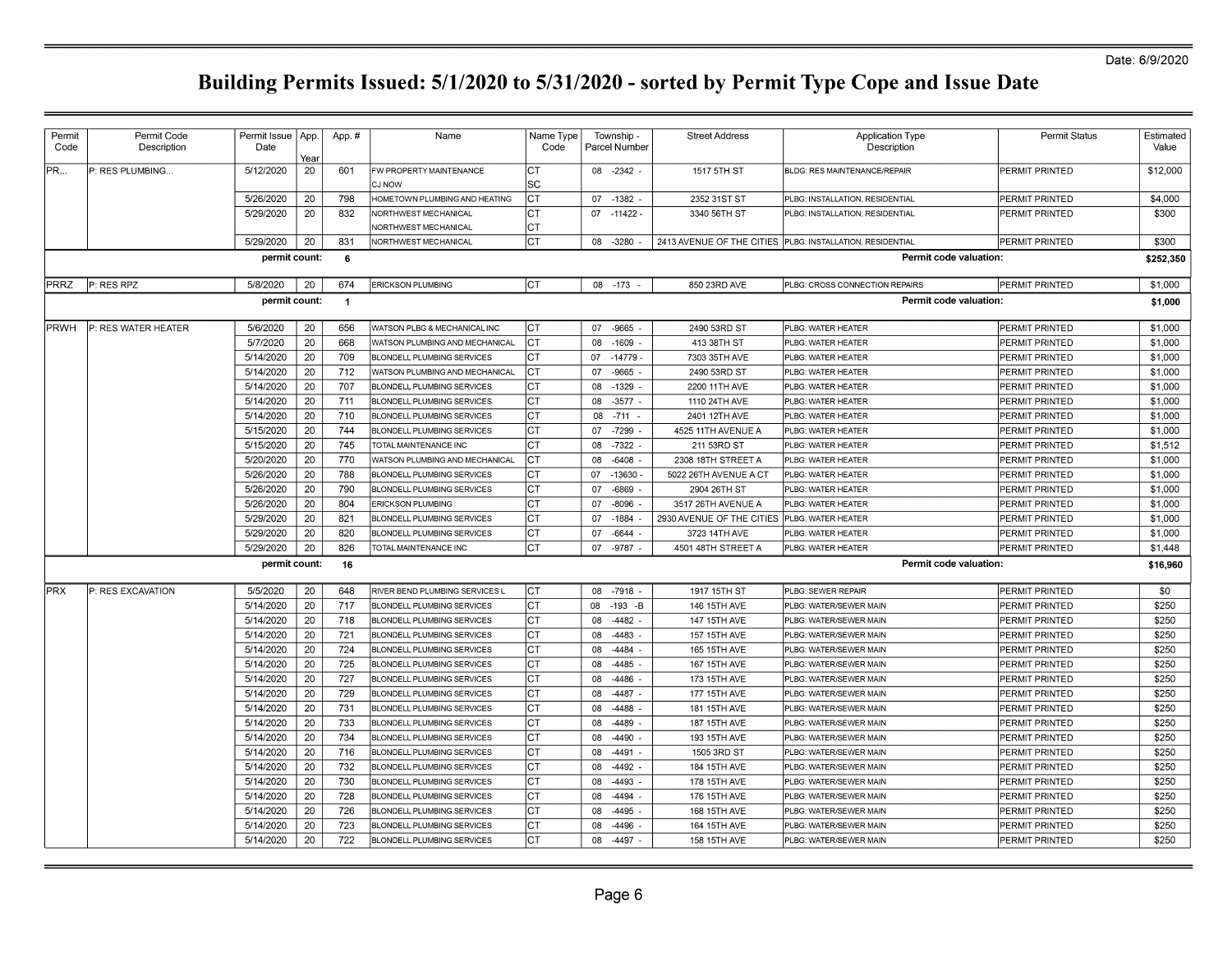| Permit       | Permit Code         | Permit Issue  | App. | App.#          | Name                              | Name Type  | Township -       | <b>Street Address</b>     | <b>Application Type</b>                                   | <b>Permit Status</b>  | Estimated |
|--------------|---------------------|---------------|------|----------------|-----------------------------------|------------|------------------|---------------------------|-----------------------------------------------------------|-----------------------|-----------|
| Code         | Description         | Date          | Year |                |                                   | Code       | Parcel Number    |                           | Description                                               |                       | Value     |
| PR           | P: RES PLUMBING     | 5/12/2020     | 20   | 601            | FW PROPERTY MAINTENANCE<br>CJ NOW | IСТ<br>lSС | 08 -2342         | 1517 5TH ST               | BLDG: RES MAINTENANCE/REPAIR                              | PERMIT PRINTED        | \$12,000  |
|              |                     | 5/26/2020     | 20   | 798            | HOMETOWN PLUMBING AND HEATING     | IСТ        | 07 -1382         | 2352 31ST ST              | PLBG: INSTALLATION, RESIDENTIAL                           | PERMIT PRINTED        | \$4,000   |
|              |                     | 5/29/2020     | 20   | 832            | NORTHWEST MECHANICAL              | СT         | $07 - 11422$     | 3340 56TH ST              | PLBG: INSTALLATION, RESIDENTIAL                           | PERMIT PRINTED        | \$300     |
|              |                     |               |      |                | NORTHWEST MECHANICAL              | IСТ        |                  |                           |                                                           |                       |           |
|              |                     | 5/29/2020     | 20   | 831            | NORTHWEST MECHANICAL              | Iст        | 08 -3280         |                           | 2413 AVENUE OF THE CITIES PLBG: INSTALLATION, RESIDENTIAL | PERMIT PRINTED        | \$300     |
|              |                     | permit count: |      | 6              |                                   |            |                  |                           | <b>Permit code valuation:</b>                             |                       | \$252,350 |
| PRRZ         | P: RES RPZ          | 5/8/2020      | 20   | 674            | <b>ERICKSON PLUMBING</b>          | IСТ        | 08 - 173         | 850 23RD AVE              | PLBG: CROSS CONNECTION REPAIRS                            | PERMIT PRINTED        | \$1,000   |
|              |                     | permit count: |      | $\overline{1}$ |                                   |            |                  |                           | Permit code valuation:                                    |                       | \$1,000   |
| <b>IPRWH</b> | P: RES WATER HEATER | 5/6/2020      | 20   | 656            | WATSON PLBG & MECHANICAL INC      | IСТ        | 07 -9665         | 2490 53RD ST              | PLBG: WATER HEATER                                        | PERMIT PRINTED        | \$1,000   |
|              |                     | 5/7/2020      | 20   | 668            | WATSON PLUMBING AND MECHANICAL    | СT         | $-1609$<br>08    | 413 38TH ST               | PLBG: WATER HEATER                                        | PERMIT PRINTED        | \$1,000   |
|              |                     | 5/14/2020     | 20   | 709            | BLONDELL PLUMBING SERVICES        | СT         | 07 -14779        | 7303 35TH AVE             | PLBG: WATER HEATER                                        | PERMIT PRINTED        | \$1,000   |
|              |                     | 5/14/2020     | 20   | 712            | WATSON PLUMBING AND MECHANICAL    | IСТ        | $-9665$<br>07    | 2490 53RD ST              | PLBG: WATER HEATER                                        | PERMIT PRINTED        | \$1,000   |
|              |                     | 5/14/2020     | 20   | 707            | BLONDELL PLUMBING SERVICES        | IСТ        | 08<br>$-1329$    | 2200 11TH AVE             | PLBG: WATER HEATER                                        | PERMIT PRINTED        | \$1,000   |
|              |                     | 5/14/2020     | 20   | 711            | <b>BLONDELL PLUMBING SERVICES</b> | IСТ        | $-3577$<br>08    | 1110 24TH AVE             | PLBG: WATER HEATER                                        | PERMIT PRINTED        | \$1,000   |
|              |                     | 5/14/2020     | 20   | 710            | <b>BLONDELL PLUMBING SERVICES</b> | IСТ        | $-711$<br>08     | 2401 12TH AVE             | PLBG: WATER HEATER                                        | PERMIT PRINTED        | \$1,000   |
|              |                     | 5/15/2020     | 20   | 744            | <b>BLONDELL PLUMBING SERVICES</b> | IСТ        | -7299<br>07      | 4525 11TH AVENUE A        | PLBG: WATER HEATER                                        | PERMIT PRINTED        | \$1,000   |
|              |                     | 5/15/2020     | 20   | 745            | TOTAL MAINTENANCE INC             | IСТ        | 08<br>-7322      | 211 53RD ST               | PLBG: WATER HEATER                                        | PERMIT PRINTED        | \$1,512   |
|              |                     | 5/20/2020     | 20   | 770            | WATSON PLUMBING AND MECHANICAL    | IСТ        | $-6408$<br>08    | 2308 18TH STREET A        | PLBG: WATER HEATER                                        | PERMIT PRINTED        | \$1,000   |
|              |                     | 5/26/2020     | 20   | 788            | BLONDELL PLUMBING SERVICES        | IСТ        | 07 -13630        | 5022 26TH AVENUE A CT     | PLBG: WATER HEATER                                        | PERMIT PRINTED        | \$1,000   |
|              |                     | 5/26/2020     | 20   | 790            | BLONDELL PLUMBING SERVICES        | IСТ        | -6869<br>07      | 2904 26TH ST              | PLBG: WATER HEATER                                        | PERMIT PRINTED        | \$1,000   |
|              |                     | 5/26/2020     | 20   | 804            | <b>ERICKSON PLUMBING</b>          | IСТ        | 07<br>$-8096$    | 3517 26TH AVENUE A        | PLBG: WATER HEATER                                        | PERMIT PRINTED        | \$1,000   |
|              |                     | 5/29/2020     | 20   | 821            | <b>BLONDELL PLUMBING SERVICES</b> | Iст        | 07<br>$-1884$    | 2930 AVENUE OF THE CITIES | PLBG: WATER HEATER                                        | PERMIT PRINTED        | \$1,000   |
|              |                     | 5/29/2020     | 20   | 820            | <b>BLONDELL PLUMBING SERVICES</b> | IСТ        | 07<br>-6644      | 3723 14TH AVE             | PLBG: WATER HEATER                                        | PERMIT PRINTED        | \$1,000   |
|              |                     | 5/29/2020     | 20   | 826            | TOTAL MAINTENANCE INC             | СT         | $-9787$<br>07    | 4501 48TH STREET A        | PLBG: WATER HEATER                                        | PERMIT PRINTED        | \$1,448   |
|              |                     | permit count: |      | 16             |                                   |            |                  |                           | Permit code valuation:                                    |                       | \$16.960  |
| <b>PRX</b>   | P: RES EXCAVATION   | 5/5/2020      | 20   | 648            | RIVER BEND PLUMBING SERVICES L    | Iст        | 08 -7918 -       | 1917 15TH ST              | PLBG: SEWER REPAIR                                        | PERMIT PRINTED        | \$0       |
|              |                     | 5/14/2020     | 20   | 717            | <b>BLONDELL PLUMBING SERVICES</b> | IСТ        | $-193 - B$<br>08 | 146 15TH AVE              | PLBG: WATER/SEWER MAIN                                    | <b>PERMIT PRINTED</b> | \$250     |
|              |                     | 5/14/2020     | 20   | 718            | <b>BLONDELL PLUMBING SERVICES</b> | IСТ        | $-4482 -$<br>08  | 147 15TH AVE              | PLBG: WATER/SEWER MAIN                                    | PERMIT PRINTED        | \$250     |
|              |                     | 5/14/2020     | 20   | 721            | <b>BLONDELL PLUMBING SERVICES</b> | IСТ        | -4483<br>08      | 157 15TH AVE              | PLBG: WATER/SEWER MAIN                                    | <b>PERMIT PRINTED</b> | \$250     |
|              |                     | 5/14/2020     | 20   | 724            | BLONDELL PLUMBING SERVICES        | СT         | -4484<br>08      | 165 15TH AVE              | PLBG: WATER/SEWER MAIN                                    | PERMIT PRINTED        | \$250     |
|              |                     | 5/14/2020     | 20   | 725            | BLONDELL PLUMBING SERVICES        | IСТ        | $-4485$<br>08    | 167 15TH AVE              | PLBG: WATER/SEWER MAIN                                    | PERMIT PRINTED        | \$250     |
|              |                     | 5/14/2020     | 20   | 727            | BLONDELL PLUMBING SERVICES        | IСТ        | 08<br>-4486      | 173 15TH AVE              | PLBG: WATER/SEWER MAIN                                    | PERMIT PRINTED        | \$250     |
|              |                     | 5/14/2020     | 20   | 729            | BLONDELL PLUMBING SERVICES        | СT         | -4487<br>08      | 177 15TH AVE              | PLBG: WATER/SEWER MAIN                                    | PERMIT PRINTED        | \$250     |
|              |                     | 5/14/2020     | 20   | 731            | <b>BLONDELL PLUMBING SERVICES</b> | СT         | $-4488$<br>08    | 181 15TH AVE              | PLBG: WATER/SEWER MAIN                                    | PERMIT PRINTED        | \$250     |
|              |                     | 5/14/2020     | 20   | 733            | <b>BLONDELL PLUMBING SERVICES</b> | Iст        | 08<br>-4489      | 187 15TH AVE              | PLBG: WATER/SEWER MAIN                                    | PERMIT PRINTED        | \$250     |
|              |                     | 5/14/2020     | 20   | 734            | <b>BLONDELL PLUMBING SERVICES</b> | CТ         | 80<br>$-4490$    | 193 15TH AVE              | PLBG: WATER/SEWER MAIN                                    | PERMIT PRINTED        | \$250     |
|              |                     | 5/14/2020     | 20   | 716            | <b>BLONDELL PLUMBING SERVICES</b> | СT         | 08<br>$-4491$    | 1505 3RD ST               | PLBG: WATER/SEWER MAIN                                    | PERMIT PRINTED        | \$250     |
|              |                     | 5/14/2020     | 20   | 732            | <b>BLONDELL PLUMBING SERVICES</b> | CТ         | 08<br>-4492      | 184 15TH AVE              | PLBG: WATER/SEWER MAIN                                    | PERMIT PRINTED        | \$250     |
|              |                     | 5/14/2020     | 20   | 730            | <b>BLONDELL PLUMBING SERVICES</b> | IСТ        | 08<br>-4493      | 178 15TH AVE              | PLBG: WATER/SEWER MAIN                                    | PERMIT PRINTED        | \$250     |
|              |                     | 5/14/2020     | 20   | 728            | BLONDELL PLUMBING SERVICES        | СT         | 08<br>-4494      | 176 15TH AVE              | PLBG: WATER/SEWER MAIN                                    | PERMIT PRINTED        | \$250     |
|              |                     | 5/14/2020     | 20   | 726            | BLONDELL PLUMBING SERVICES        | IСТ        | 08<br>$-4495$    | 168 15TH AVE              | PLBG: WATER/SEWER MAIN                                    | PERMIT PRINTED        | \$250     |
|              |                     | 5/14/2020     | 20   | 723            | BLONDELL PLUMBING SERVICES        | СT         | $-4496$<br>08    | 164 15TH AVE              | PLBG: WATER/SEWER MAIN                                    | PERMIT PRINTED        | \$250     |
|              |                     | 5/14/2020     | 20   | 722            | <b>BLONDELL PLUMBING SERVICES</b> | СT         | 08 -4497         | 158 15TH AVE              | PLBG: WATER/SEWER MAIN                                    | PERMIT PRINTED        | \$250     |